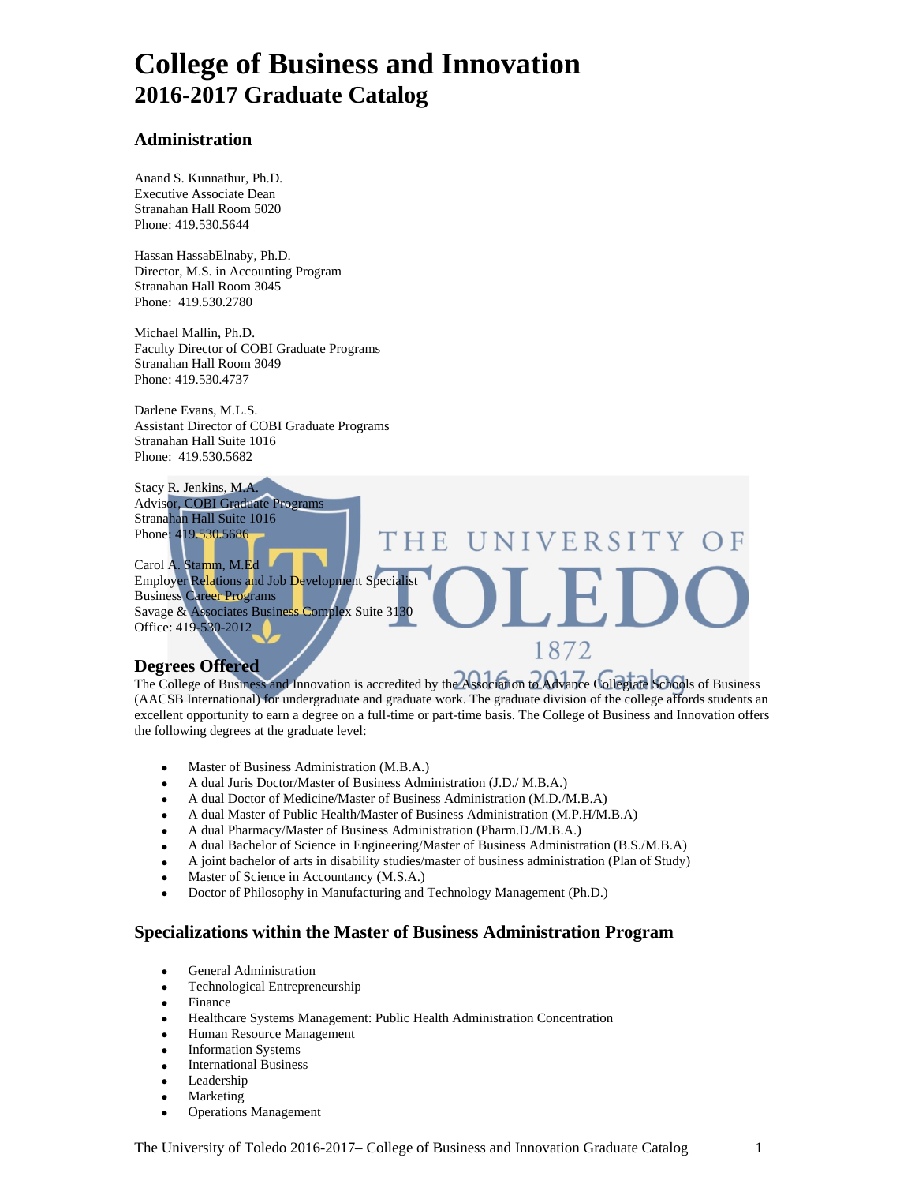## **College of Business and Innovation 2016-2017 Graduate Catalog**

#### **Administration**

Anand S. Kunnathur, Ph.D. Executive Associate Dean Stranahan Hall Room 5020 Phone: 419.530.5644

Hassan HassabElnaby, Ph.D. Director, M.S. in Accounting Program Stranahan Hall Room 3045 Phone: 419.530.2780

Michael Mallin, Ph.D. Faculty Director of COBI Graduate Programs Stranahan Hall Room 3049 Phone: 419.530.4737

Darlene Evans, M.L.S. Assistant Director of COBI Graduate Programs Stranahan Hall Suite 1016 Phone: 419.530.5682

Stacy R. Jenkins, M.A. Advisor, COBI Graduate Programs Stranahan Hall Suite 1016 Phone: 419.530.5686

Carol A. Stamm, M.Ed Employer Relations and Job Development Specialist Business Career Programs Savage & Associates Business Complex Suite 3130 Office: 419-530-2012

#### **Degrees Offered**

The College of Business and Innovation is accredited by the Association to Advance Collegiate Schools of Business (AACSB International) for undergraduate and graduate work. The graduate division of the college affords students an excellent opportunity to earn a degree on a full-time or part-time basis. The College of Business and Innovation offers the following degrees at the graduate level:

 $\mathbf{H}$ 

NIVERSITY OF

1872

- Master of Business Administration (M.B.A.)
- A dual Juris Doctor/Master of Business Administration (J.D./ M.B.A.)
- A dual Doctor of Medicine/Master of Business Administration (M.D./M.B.A)
- A dual Master of Public Health/Master of Business Administration (M.P.H/M.B.A)

THE

- A dual Pharmacy/Master of Business Administration (Pharm.D./M.B.A.)
- A dual Bachelor of Science in Engineering/Master of Business Administration (B.S./M.B.A)
- A joint bachelor of arts in disability studies/master of business administration (Plan of Study)
- Master of Science in Accountancy (M.S.A.)
- Doctor of Philosophy in Manufacturing and Technology Management (Ph.D.)

#### **Specializations within the Master of Business Administration Program**

- General Administration
- Technological Entrepreneurship
- **Finance**
- Healthcare Systems Management: Public Health Administration Concentration
- Human Resource Management
- Information Systems
- **International Business**
- Leadership
- **Marketing**
- Operations Management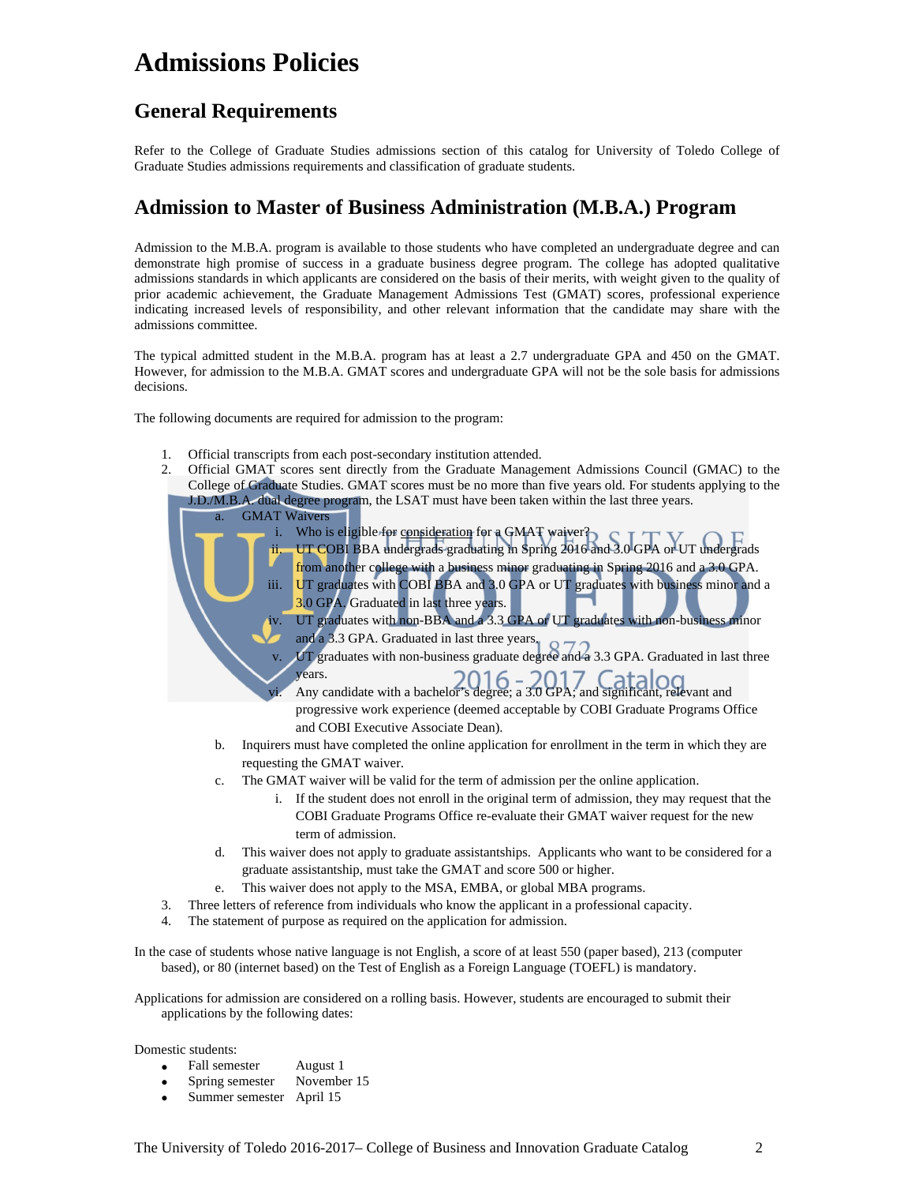## **Admissions Policies**

### **General Requirements**

Refer to the College of Graduate Studies admissions section of this catalog for University of Toledo College of Graduate Studies admissions requirements and classification of graduate students.

### **Admission to Master of Business Administration (M.B.A.) Program**

Admission to the M.B.A. program is available to those students who have completed an undergraduate degree and can demonstrate high promise of success in a graduate business degree program. The college has adopted qualitative admissions standards in which applicants are considered on the basis of their merits, with weight given to the quality of prior academic achievement, the Graduate Management Admissions Test (GMAT) scores, professional experience indicating increased levels of responsibility, and other relevant information that the candidate may share with the admissions committee.

The typical admitted student in the M.B.A. program has at least a 2.7 undergraduate GPA and 450 on the GMAT. However, for admission to the M.B.A. GMAT scores and undergraduate GPA will not be the sole basis for admissions decisions.

The following documents are required for admission to the program:

- 1. Official transcripts from each post-secondary institution attended.
- 2. Official GMAT scores sent directly from the Graduate Management Admissions Council (GMAC) to the College of Graduate Studies. GMAT scores must be no more than five years old. For students applying to the J.D./M.B.A. dual degree program, the LSAT must have been taken within the last three years. **GMAT Waivers** i. Who is eligible for consideration for a GMAT waiver? ii. UT COBI BBA undergrads graduating in Spring 2016 and 3.0 GPA or UT undergrads from another college with a business minor graduating in Spring 2016 and a 3.0 GPA. iii. UT graduates with COBI BBA and 3.0 GPA or UT graduates with business minor and a 3.0 GPA. Graduated in last three years. UT graduates with non-BBA and a 3.3 GPA or UT graduates with non-business minor and a 3.3 GPA. Graduated in last three years. UT graduates with non-business graduate degree and a 3.3 GPA. Graduated in last three years. vi. Any candidate with a bachelor's degree; a 3.0 GPA; and significant, relevant and progressive work experience (deemed acceptable by COBI Graduate Programs Office and COBI Executive Associate Dean). b. Inquirers must have completed the online application for enrollment in the term in which they are requesting the GMAT waiver. c. The GMAT waiver will be valid for the term of admission per the online application.
	- i. If the student does not enroll in the original term of admission, they may request that the COBI Graduate Programs Office re-evaluate their GMAT waiver request for the new term of admission.
	- d. This waiver does not apply to graduate assistantships. Applicants who want to be considered for a graduate assistantship, must take the GMAT and score 500 or higher.
	- e. This waiver does not apply to the MSA, EMBA, or global MBA programs.
- 3. Three letters of reference from individuals who know the applicant in a professional capacity.
- 4. The statement of purpose as required on the application for admission.

In the case of students whose native language is not English, a score of at least 550 (paper based), 213 (computer based), or 80 (internet based) on the Test of English as a Foreign Language (TOEFL) is mandatory.

Applications for admission are considered on a rolling basis. However, students are encouraged to submit their applications by the following dates:

Domestic students:

- Fall semester August 1
- Spring semester November 15
- Summer semester April 15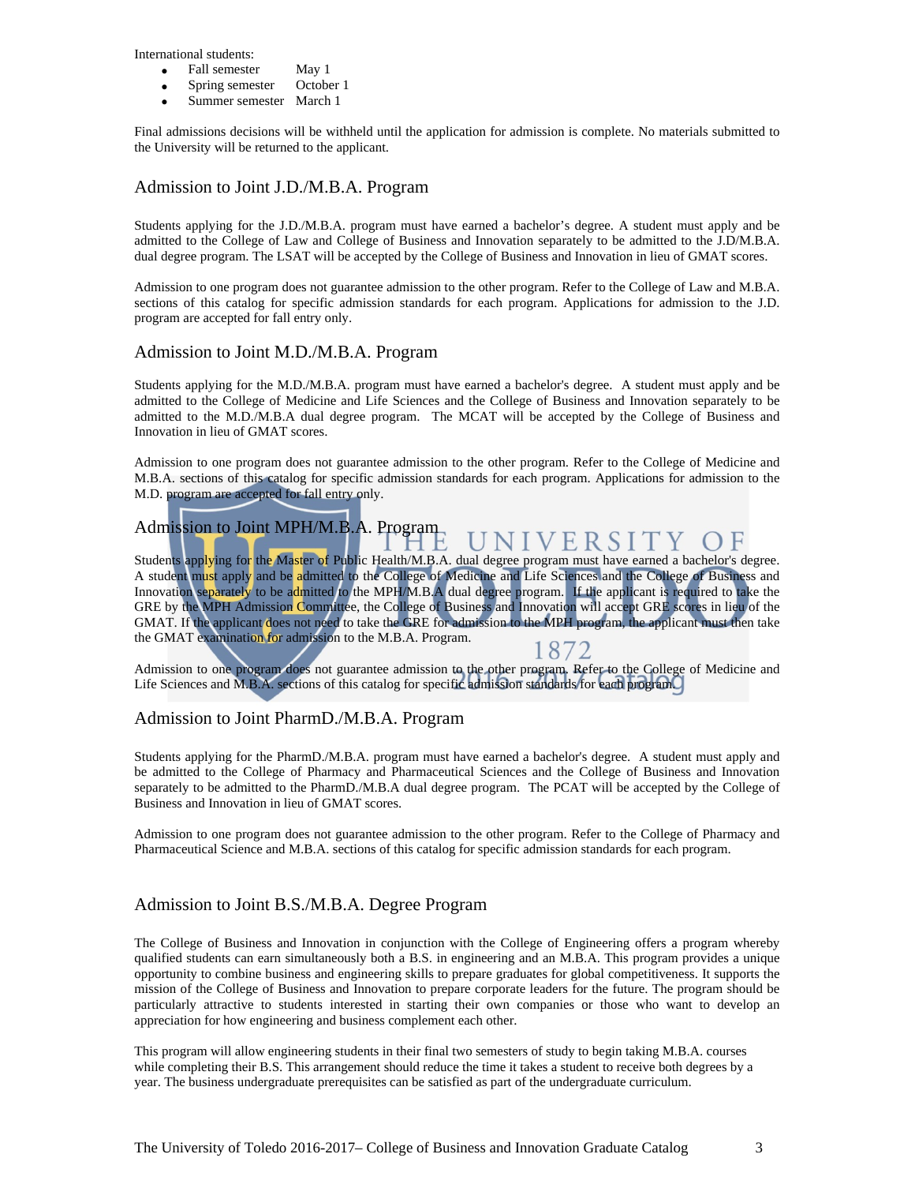International students:

- Fall semester May 1
- Spring semester October 1
- Summer semester March 1

Final admissions decisions will be withheld until the application for admission is complete. No materials submitted to the University will be returned to the applicant.

#### Admission to Joint J.D./M.B.A. Program

Students applying for the J.D./M.B.A. program must have earned a bachelor's degree. A student must apply and be admitted to the College of Law and College of Business and Innovation separately to be admitted to the J.D/M.B.A. dual degree program. The LSAT will be accepted by the College of Business and Innovation in lieu of GMAT scores.

Admission to one program does not guarantee admission to the other program. Refer to the College of Law and M.B.A. sections of this catalog for specific admission standards for each program. Applications for admission to the J.D. program are accepted for fall entry only.

#### Admission to Joint M.D./M.B.A. Program

Students applying for the M.D./M.B.A. program must have earned a bachelor's degree. A student must apply and be admitted to the College of Medicine and Life Sciences and the College of Business and Innovation separately to be admitted to the M.D./M.B.A dual degree program. The MCAT will be accepted by the College of Business and Innovation in lieu of GMAT scores.

Admission to one program does not guarantee admission to the other program. Refer to the College of Medicine and M.B.A. sections of this catalog for specific admission standards for each program. Applications for admission to the M.D. program are accepted for fall entry only.

#### Admission to Joint MPH/M.B.A. Program NIVERSIT  $()$  F

Students applying for the Master of Public Health/M.B.A. dual degree program must have earned a bachelor's degree. A student must apply and be admitted to the College of Medicine and Life Sciences and the College of Business and Innovation separately to be admitted to the MPH/M.B.A dual degree program. If the applicant is required to take the GRE by the MPH Admission Committee, the College of Business and Innovation will accept GRE scores in lieu of the GMAT. If the applicant does not need to take the GRE for admission to the MPH program, the applicant must then take the GMAT examination for admission to the M.B.A. Program. 1872

Admission to one program does not guarantee admission to the other program. Refer to the College of Medicine and Life Sciences and M.B.A. sections of this catalog for specific admission standards for each program.

#### Admission to Joint PharmD./M.B.A. Program

Students applying for the PharmD./M.B.A. program must have earned a bachelor's degree. A student must apply and be admitted to the College of Pharmacy and Pharmaceutical Sciences and the College of Business and Innovation separately to be admitted to the PharmD./M.B.A dual degree program. The PCAT will be accepted by the College of Business and Innovation in lieu of GMAT scores.

Admission to one program does not guarantee admission to the other program. Refer to the College of Pharmacy and Pharmaceutical Science and M.B.A. sections of this catalog for specific admission standards for each program.

### Admission to Joint B.S./M.B.A. Degree Program

The College of Business and Innovation in conjunction with the College of Engineering offers a program whereby qualified students can earn simultaneously both a B.S. in engineering and an M.B.A. This program provides a unique opportunity to combine business and engineering skills to prepare graduates for global competitiveness. It supports the mission of the College of Business and Innovation to prepare corporate leaders for the future. The program should be particularly attractive to students interested in starting their own companies or those who want to develop an appreciation for how engineering and business complement each other.

This program will allow engineering students in their final two semesters of study to begin taking M.B.A. courses while completing their B.S. This arrangement should reduce the time it takes a student to receive both degrees by a year. The business undergraduate prerequisites can be satisfied as part of the undergraduate curriculum.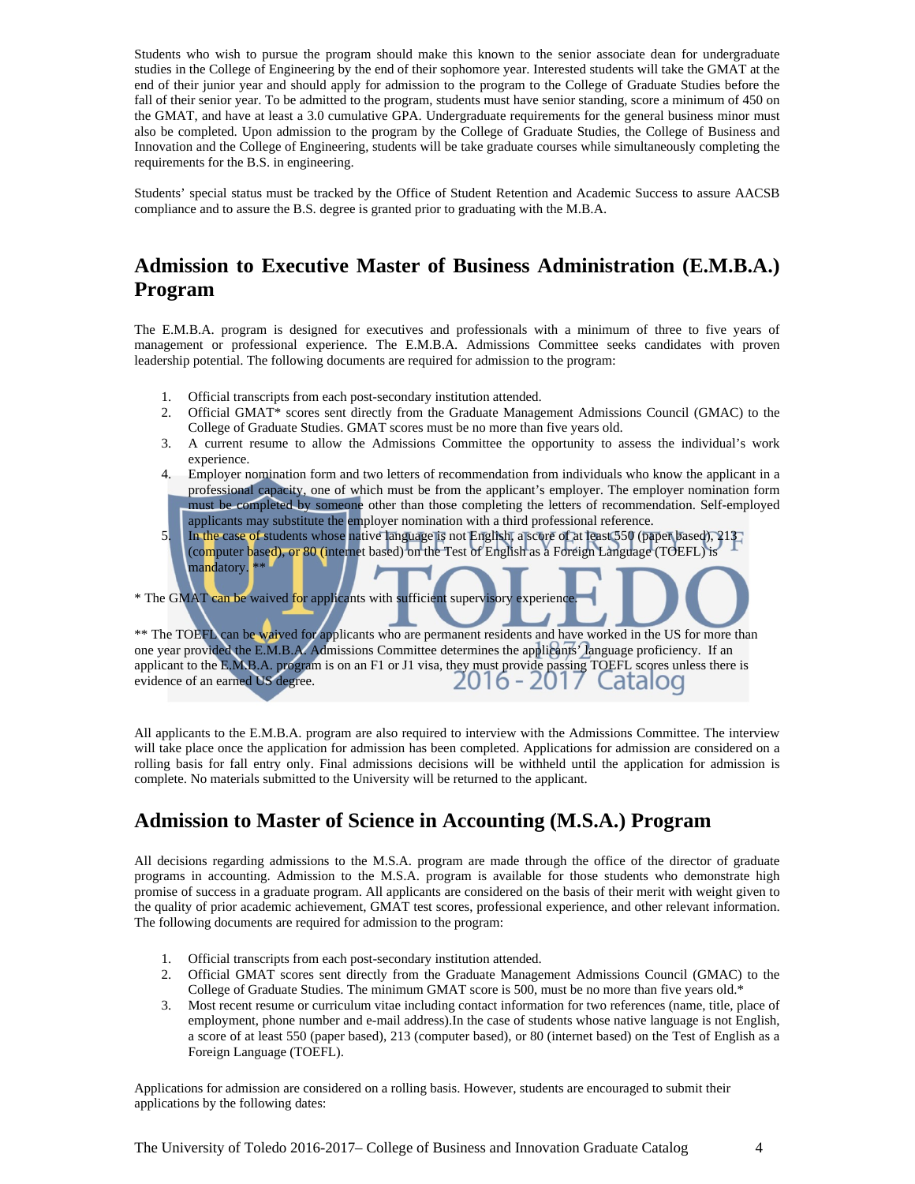Students who wish to pursue the program should make this known to the senior associate dean for undergraduate studies in the College of Engineering by the end of their sophomore year. Interested students will take the GMAT at the end of their junior year and should apply for admission to the program to the College of Graduate Studies before the fall of their senior year. To be admitted to the program, students must have senior standing, score a minimum of 450 on the GMAT, and have at least a 3.0 cumulative GPA. Undergraduate requirements for the general business minor must also be completed. Upon admission to the program by the College of Graduate Studies, the College of Business and Innovation and the College of Engineering, students will be take graduate courses while simultaneously completing the requirements for the B.S. in engineering.

Students' special status must be tracked by the Office of Student Retention and Academic Success to assure AACSB compliance and to assure the B.S. degree is granted prior to graduating with the M.B.A.

### **Admission to Executive Master of Business Administration (E.M.B.A.) Program**

The E.M.B.A. program is designed for executives and professionals with a minimum of three to five years of management or professional experience. The E.M.B.A. Admissions Committee seeks candidates with proven leadership potential. The following documents are required for admission to the program:

- 1. Official transcripts from each post-secondary institution attended.
- 2. Official GMAT\* scores sent directly from the Graduate Management Admissions Council (GMAC) to the College of Graduate Studies. GMAT scores must be no more than five years old.
- 3. A current resume to allow the Admissions Committee the opportunity to assess the individual's work experience.
- 4. Employer nomination form and two letters of recommendation from individuals who know the applicant in a professional capacity, one of which must be from the applicant's employer. The employer nomination form must be completed by someone other than those completing the letters of recommendation. Self-employed applicants may substitute the employer nomination with a third professional reference.
- 5. In the case of students whose native language is not English, a score of at least 550 (paper based), 213 (computer based), or 80 (internet based) on the Test of English as a Foreign Language (TOEFL) is mandatory.<sup>\*\*</sup>

\* The GMAT can be waived for applicants with sufficient supervisory experience

\*\* The TOEFL can be waived for applicants who are permanent residents and have worked in the US for more than one year provided the E.M.B.A. Admissions Committee determines the applicants' language proficiency. If an applicant to the E.M.B.A. program is on an F1 or J1 visa, they must provide passing TOEFL scores unless there is evidence of an earned US degree. 016 - 2017 atalog

All applicants to the E.M.B.A. program are also required to interview with the Admissions Committee. The interview will take place once the application for admission has been completed. Applications for admission are considered on a rolling basis for fall entry only. Final admissions decisions will be withheld until the application for admission is complete. No materials submitted to the University will be returned to the applicant.

### **Admission to Master of Science in Accounting (M.S.A.) Program**

All decisions regarding admissions to the M.S.A. program are made through the office of the director of graduate programs in accounting. Admission to the M.S.A. program is available for those students who demonstrate high promise of success in a graduate program. All applicants are considered on the basis of their merit with weight given to the quality of prior academic achievement, GMAT test scores, professional experience, and other relevant information. The following documents are required for admission to the program:

- 1. Official transcripts from each post-secondary institution attended.
- 2. Official GMAT scores sent directly from the Graduate Management Admissions Council (GMAC) to the College of Graduate Studies. The minimum GMAT score is 500, must be no more than five years old.\*
- 3. Most recent resume or curriculum vitae including contact information for two references (name, title, place of employment, phone number and e-mail address).In the case of students whose native language is not English, a score of at least 550 (paper based), 213 (computer based), or 80 (internet based) on the Test of English as a Foreign Language (TOEFL).

Applications for admission are considered on a rolling basis. However, students are encouraged to submit their applications by the following dates: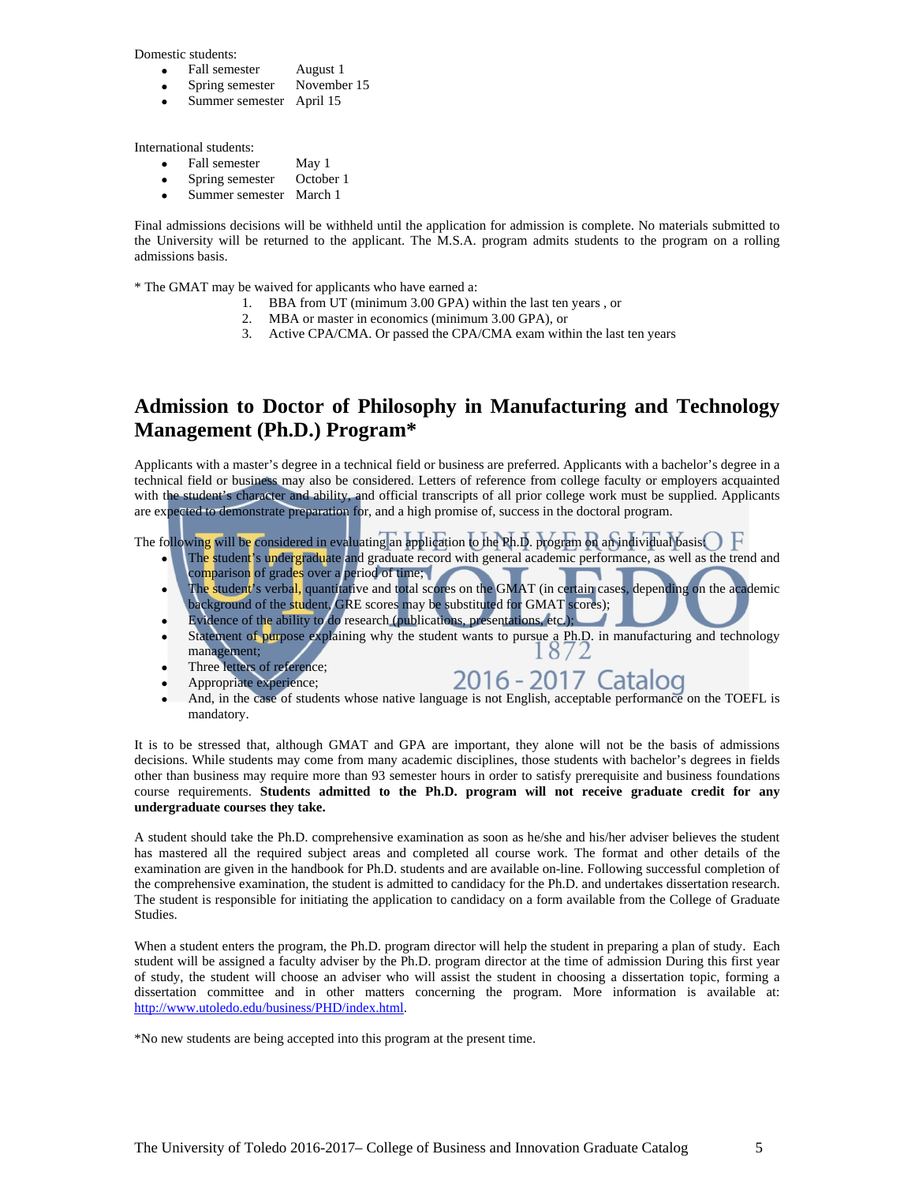Domestic students:

- Fall semester August 1
- Spring semester November 15
- Summer semester April 15

International students:

- Fall semester May 1
- Spring semester October 1
- Summer semester March 1

Final admissions decisions will be withheld until the application for admission is complete. No materials submitted to the University will be returned to the applicant. The M.S.A. program admits students to the program on a rolling admissions basis.

\* The GMAT may be waived for applicants who have earned a:

- 1. BBA from UT (minimum 3.00 GPA) within the last ten years , or
- 2. MBA or master in economics (minimum 3.00 GPA), or
- 3. Active CPA/CMA. Or passed the CPA/CMA exam within the last ten years

### **Admission to Doctor of Philosophy in Manufacturing and Technology Management (Ph.D.) Program\***

Applicants with a master's degree in a technical field or business are preferred. Applicants with a bachelor's degree in a technical field or business may also be considered. Letters of reference from college faculty or employers acquainted with the student's character and ability, and official transcripts of all prior college work must be supplied. Applicants are expected to demonstrate preparation for, and a high promise of, success in the doctoral program.

The following will be considered in evaluating an application to the Ph.D. program on an individual basis  $\bigcirc\, F$ 

- The student's undergraduate and graduate record with general academic performance, as well as the trend and comparison of grades over a period of time;
- The student's verbal, quantitative and total scores on the GMAT (in certain cases, depending on the academic background of the student, GRE scores may be substituted for GMAT scores);
- Evidence of the ability to do research (publications, presentations, etc.); Statement of purpose explaining why the student wants to pursue a Ph.D. in manufacturing and technology management; management;
- Three letters of reference;
- Appropriate experience;

## 2016 - 2017 Catalog

• And, in the case of students whose native language is not English, acceptable performance on the TOEFL is mandatory.

It is to be stressed that, although GMAT and GPA are important, they alone will not be the basis of admissions decisions. While students may come from many academic disciplines, those students with bachelor's degrees in fields other than business may require more than 93 semester hours in order to satisfy prerequisite and business foundations course requirements. **Students admitted to the Ph.D. program will not receive graduate credit for any undergraduate courses they take.**

A student should take the Ph.D. comprehensive examination as soon as he/she and his/her adviser believes the student has mastered all the required subject areas and completed all course work. The format and other details of the examination are given in the handbook for Ph.D. students and are available on-line. Following successful completion of the comprehensive examination, the student is admitted to candidacy for the Ph.D. and undertakes dissertation research. The student is responsible for initiating the application to candidacy on a form available from the College of Graduate Studies.

When a student enters the program, the Ph.D. program director will help the student in preparing a plan of study. Each student will be assigned a faculty adviser by the Ph.D. program director at the time of admission During this first year of study, the student will choose an adviser who will assist the student in choosing a dissertation topic, forming a dissertation committee and in other matters concerning the program. More information is available at: [http://www.utoledo.edu/business/PHD/index.html.](http://www.utoledo.edu/business/PHD/index.html)

\*No new students are being accepted into this program at the present time.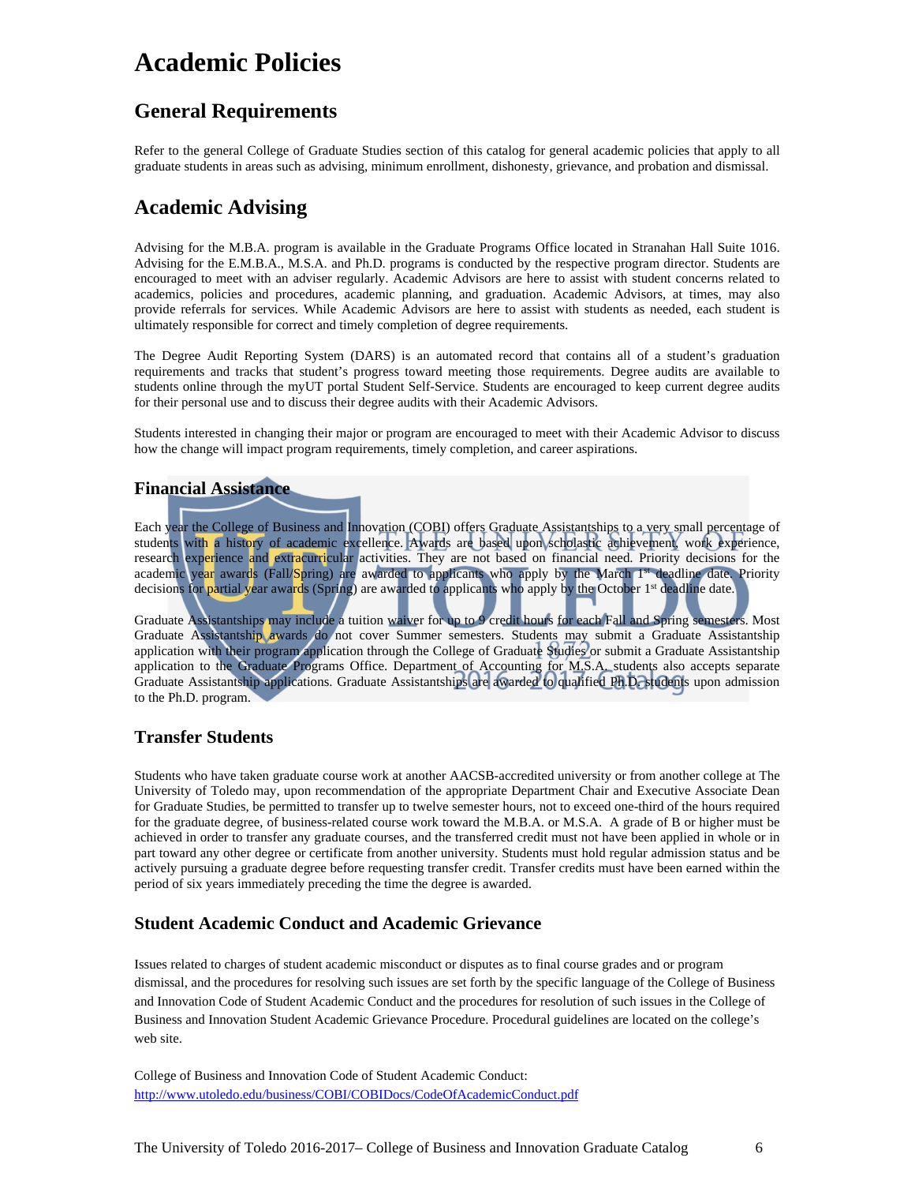## **Academic Policies**

### **General Requirements**

Refer to the general College of Graduate Studies section of this catalog for general academic policies that apply to all graduate students in areas such as advising, minimum enrollment, dishonesty, grievance, and probation and dismissal.

### **Academic Advising**

Advising for the M.B.A. program is available in the Graduate Programs Office located in Stranahan Hall Suite 1016. Advising for the E.M.B.A., M.S.A. and Ph.D. programs is conducted by the respective program director. Students are encouraged to meet with an adviser regularly. Academic Advisors are here to assist with student concerns related to academics, policies and procedures, academic planning, and graduation. Academic Advisors, at times, may also provide referrals for services. While Academic Advisors are here to assist with students as needed, each student is ultimately responsible for correct and timely completion of degree requirements.

The Degree Audit Reporting System (DARS) is an automated record that contains all of a student's graduation requirements and tracks that student's progress toward meeting those requirements. Degree audits are available to students online through the myUT portal Student Self-Service. Students are encouraged to keep current degree audits for their personal use and to discuss their degree audits with their Academic Advisors.

Students interested in changing their major or program are encouraged to meet with their Academic Advisor to discuss how the change will impact program requirements, timely completion, and career aspirations.

### **Financial Assistance**

Each year the College of Business and Innovation (COBI) offers Graduate Assistantships to a very small percentage of students with a history of academic excellence. Awards are based upon scholastic achievement, work experience, research experience and extracurricular activities. They are not based on financial need. Priority decisions for the academic year awards (Fall/Spring) are awarded to applicants who apply by the March 1<sup>st</sup> deadline date. Priority decisions for partial year awards (Spring) are awarded to applicants who apply by the October 1<sup>st</sup> deadline date.

Graduate Assistantships may include a tuition waiver for up to 9 credit hours for each Fall and Spring semesters. Most Graduate Assistantship awards do not cover Summer semesters. Students may submit a Graduate Assistantship application with their program application through the College of Graduate Studies or submit a Graduate Assistantship application to the Graduate Programs Office. Department of Accounting for M.S.A. students also accepts separate Graduate Assistantship applications. Graduate Assistantships are awarded to qualified Ph.D. students upon admission to the Ph.D. program.

### **Transfer Students**

Students who have taken graduate course work at another AACSB-accredited university or from another college at The University of Toledo may, upon recommendation of the appropriate Department Chair and Executive Associate Dean for Graduate Studies, be permitted to transfer up to twelve semester hours, not to exceed one-third of the hours required for the graduate degree, of business-related course work toward the M.B.A. or M.S.A. A grade of B or higher must be achieved in order to transfer any graduate courses, and the transferred credit must not have been applied in whole or in part toward any other degree or certificate from another university. Students must hold regular admission status and be actively pursuing a graduate degree before requesting transfer credit. Transfer credits must have been earned within the period of six years immediately preceding the time the degree is awarded.

### **Student Academic Conduct and Academic Grievance**

Issues related to charges of student academic misconduct or disputes as to final course grades and or program dismissal, and the procedures for resolving such issues are set forth by the specific language of the College of Business and Innovation Code of Student Academic Conduct and the procedures for resolution of such issues in the College of Business and Innovation Student Academic Grievance Procedure. Procedural guidelines are located on the college's web site.

College of Business and Innovation Code of Student Academic Conduct: <http://www.utoledo.edu/business/COBI/COBIDocs/CodeOfAcademicConduct.pdf>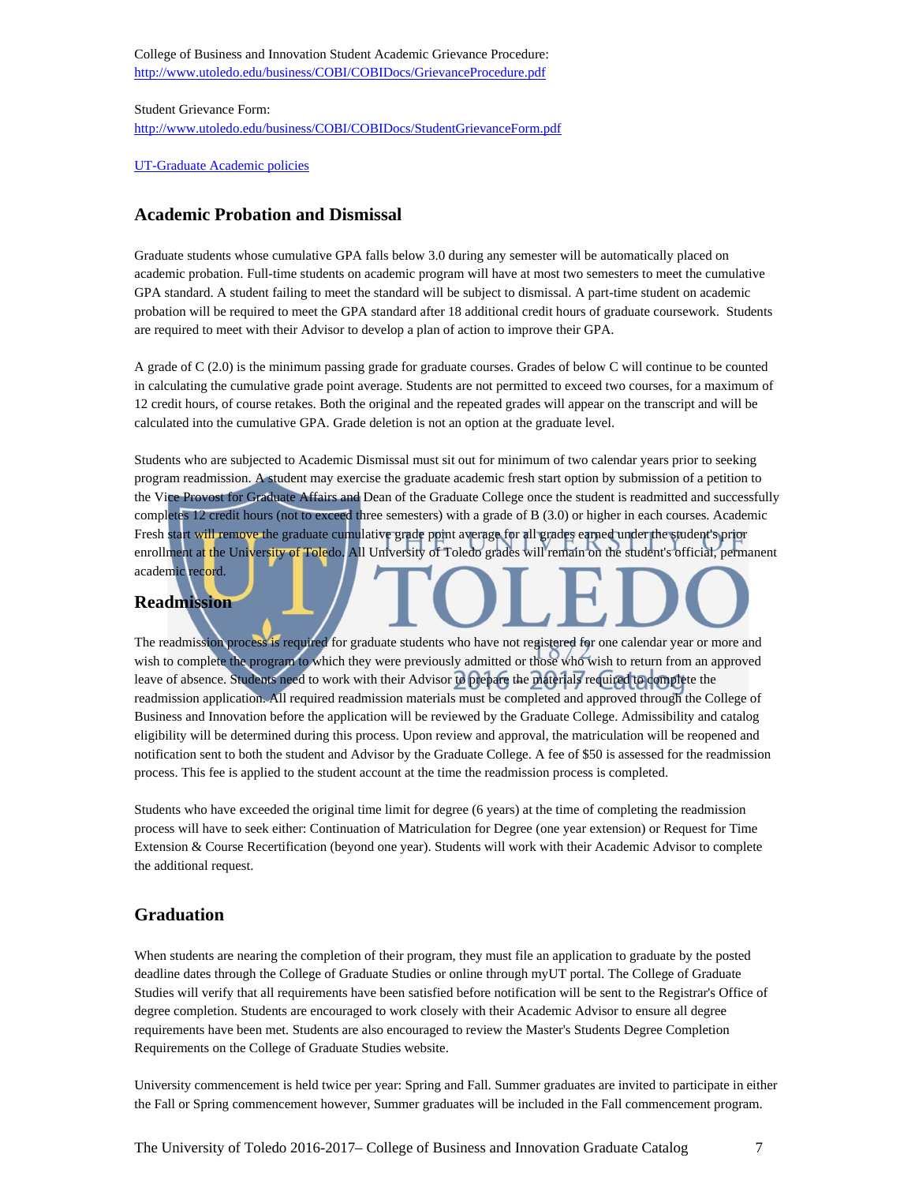College of Business and Innovation Student Academic Grievance Procedure: <http://www.utoledo.edu/business/COBI/COBIDocs/GrievanceProcedure.pdf>

Student Grievance Form: <http://www.utoledo.edu/business/COBI/COBIDocs/StudentGrievanceForm.pdf>

[UT-Graduate Academic policies](http://www.utoledo.edu/policies/academic/graduate/)

#### **Academic Probation and Dismissal**

Graduate students whose cumulative GPA falls below 3.0 during any semester will be automatically placed on academic probation. Full-time students on academic program will have at most two semesters to meet the cumulative GPA standard. A student failing to meet the standard will be subject to dismissal. A part-time student on academic probation will be required to meet the GPA standard after 18 additional credit hours of graduate coursework. Students are required to meet with their Advisor to develop a plan of action to improve their GPA.

A grade of C (2.0) is the minimum passing grade for graduate courses. Grades of below C will continue to be counted in calculating the cumulative grade point average. Students are not permitted to exceed two courses, for a maximum of 12 credit hours, of course retakes. Both the original and the repeated grades will appear on the transcript and will be calculated into the cumulative GPA. Grade deletion is not an option at the graduate level.

Students who are subjected to Academic Dismissal must sit out for minimum of two calendar years prior to seeking program readmission. A student may exercise the graduate academic fresh start option by submission of a petition to the Vice Provost for Graduate Affairs and Dean of the Graduate College once the student is readmitted and successfully completes 12 credit hours (not to exceed three semesters) with a grade of B (3.0) or higher in each courses. Academic Fresh start will remove the graduate cumulative grade point average for all grades earned under the student's prior enrollment at the University of Toledo. All University of Toledo grades will remain on the student's official, permanent academic record.

# **Readmission**

The readmission process is required for graduate students who have not registered for one calendar year or more and wish to complete the program to which they were previously admitted or those who wish to return from an approved leave of absence. Students need to work with their Advisor to prepare the materials required to complete the readmission application. All required readmission materials must be completed and approved through the College of Business and Innovation before the application will be reviewed by the Graduate College. Admissibility and catalog eligibility will be determined during this process. Upon review and approval, the matriculation will be reopened and notification sent to both the student and Advisor by the Graduate College. A fee of \$50 is assessed for the readmission process. This fee is applied to the student account at the time the readmission process is completed.

Students who have exceeded the original time limit for degree (6 years) at the time of completing the readmission process will have to seek either: Continuation of Matriculation for Degree (one year extension) or Request for Time Extension & Course Recertification (beyond one year). Students will work with their Academic Advisor to complete the additional request.

### **Graduation**

When students are nearing the completion of their program, they must file an application to graduate by the posted deadline dates through the College of Graduate Studies or online through myUT portal. The College of Graduate Studies will verify that all requirements have been satisfied before notification will be sent to the Registrar's Office of degree completion. Students are encouraged to work closely with their Academic Advisor to ensure all degree requirements have been met. Students are also encouraged to review the Master's Students Degree Completion Requirements on the College of Graduate Studies website.

University commencement is held twice per year: Spring and Fall. Summer graduates are invited to participate in either the Fall or Spring commencement however, Summer graduates will be included in the Fall commencement program.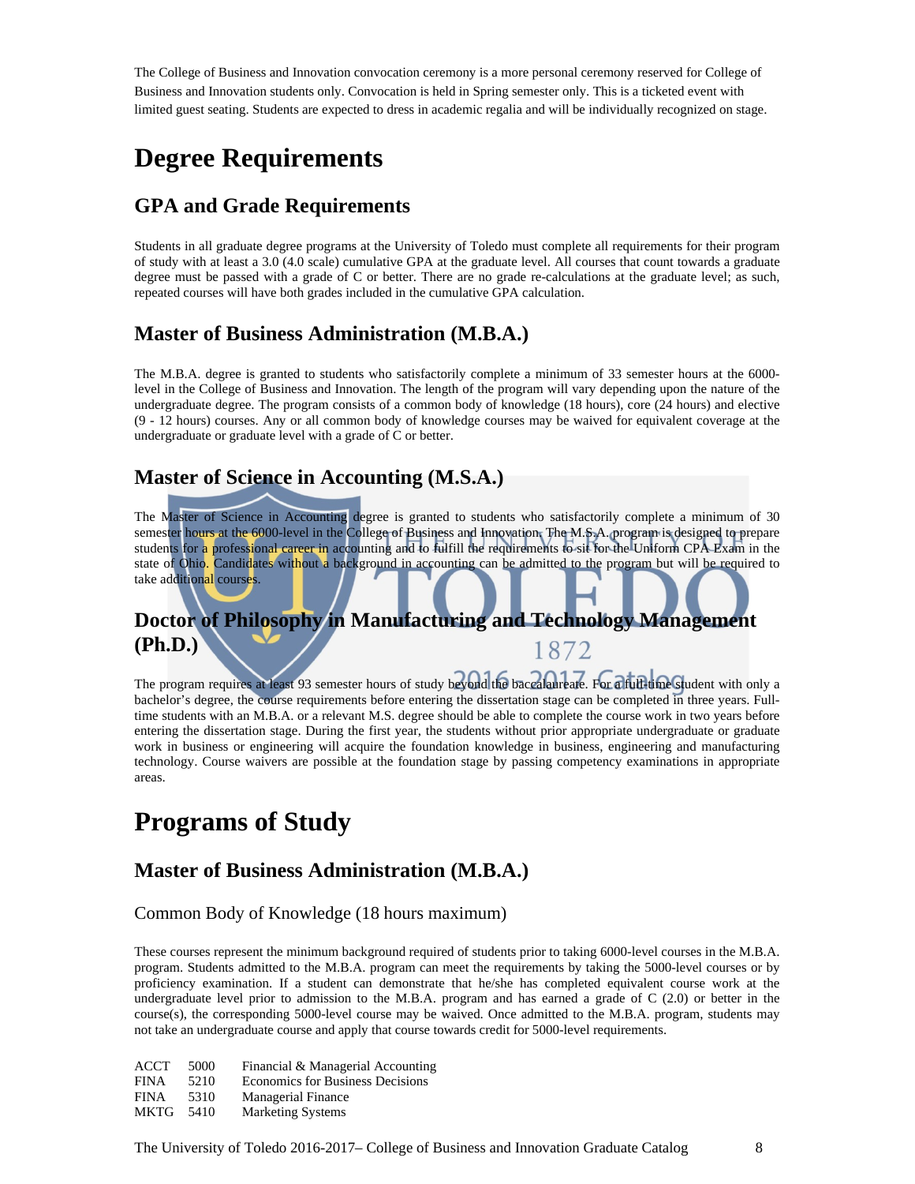The College of Business and Innovation convocation ceremony is a more personal ceremony reserved for College of Business and Innovation students only. Convocation is held in Spring semester only. This is a ticketed event with limited guest seating. Students are expected to dress in academic regalia and will be individually recognized on stage.

## **Degree Requirements**

### **GPA and Grade Requirements**

Students in all graduate degree programs at the University of Toledo must complete all requirements for their program of study with at least a 3.0 (4.0 scale) cumulative GPA at the graduate level. All courses that count towards a graduate degree must be passed with a grade of C or better. There are no grade re-calculations at the graduate level; as such, repeated courses will have both grades included in the cumulative GPA calculation.

### **Master of Business Administration (M.B.A.)**

The M.B.A. degree is granted to students who satisfactorily complete a minimum of 33 semester hours at the 6000 level in the College of Business and Innovation. The length of the program will vary depending upon the nature of the undergraduate degree. The program consists of a common body of knowledge (18 hours), core (24 hours) and elective (9 - 12 hours) courses. Any or all common body of knowledge courses may be waived for equivalent coverage at the undergraduate or graduate level with a grade of C or better.

### **Master of Science in Accounting (M.S.A.)**

The Master of Science in Accounting degree is granted to students who satisfactorily complete a minimum of 30 semester hours at the 6000-level in the College of Business and Innovation. The M.S.A. program is designed to prepare students for a professional career in accounting and to fulfill the requirements to sit for the Uniform CPA Exam in the state of Ohio. Candidates without a background in accounting can be admitted to the program but will be required to take additional courses.

#### **Doctor of Philosophy in Manufacturing and Technology Management (Ph.D.)** 1872

The program requires at least 93 semester hours of study beyond the baccalaureate. For a full-time student with only a bachelor's degree, the course requirements before entering the dissertation stage can be completed in three years. Fulltime students with an M.B.A. or a relevant M.S. degree should be able to complete the course work in two years before entering the dissertation stage. During the first year, the students without prior appropriate undergraduate or graduate work in business or engineering will acquire the foundation knowledge in business, engineering and manufacturing technology. Course waivers are possible at the foundation stage by passing competency examinations in appropriate areas.

## **Programs of Study**

### **Master of Business Administration (M.B.A.)**

Common Body of Knowledge (18 hours maximum)

These courses represent the minimum background required of students prior to taking 6000-level courses in the M.B.A. program. Students admitted to the M.B.A. program can meet the requirements by taking the 5000-level courses or by proficiency examination. If a student can demonstrate that he/she has completed equivalent course work at the undergraduate level prior to admission to the M.B.A. program and has earned a grade of C (2.0) or better in the course(s), the corresponding 5000-level course may be waived. Once admitted to the M.B.A. program, students may not take an undergraduate course and apply that course towards credit for 5000-level requirements.

| ACCT        | 5000 | Financial & Managerial Accounting       |
|-------------|------|-----------------------------------------|
| <b>FINA</b> | 5210 | <b>Economics for Business Decisions</b> |
| <b>FINA</b> | 5310 | <b>Managerial Finance</b>               |
| <b>MKTG</b> | 5410 | <b>Marketing Systems</b>                |

The University of Toledo 2016-2017– College of Business and Innovation Graduate Catalog 8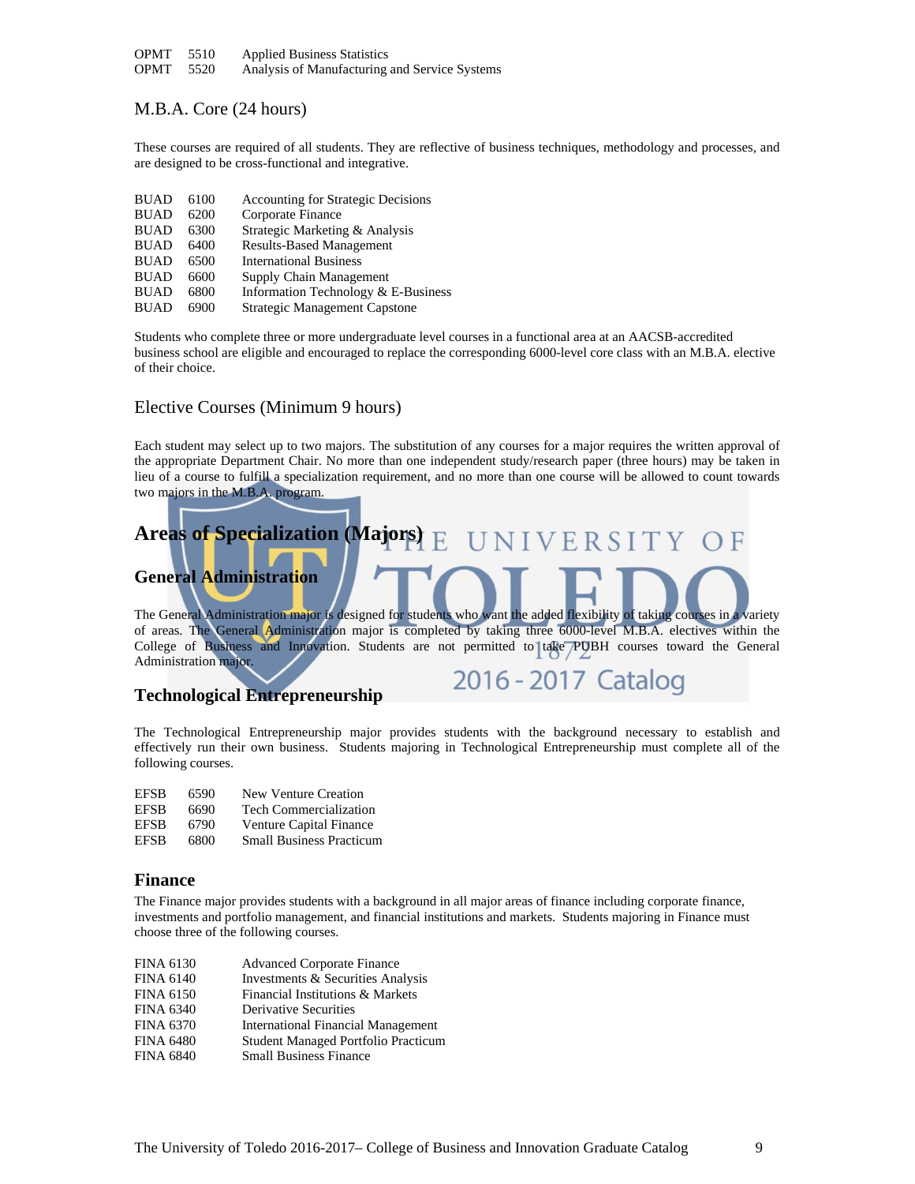| OPMT | 5510 | <b>Applied Business Statistics</b> |
|------|------|------------------------------------|
|------|------|------------------------------------|

OPMT 5520 Analysis of Manufacturing and Service Systems

#### M.B.A. Core (24 hours)

These courses are required of all students. They are reflective of business techniques, methodology and processes, and are designed to be cross-functional and integrative.

| <b>BUAD</b> | 6100 | <b>Accounting for Strategic Decisions</b> |
|-------------|------|-------------------------------------------|
| <b>BUAD</b> | 6200 | Corporate Finance                         |
| <b>BUAD</b> | 6300 | Strategic Marketing & Analysis            |
| <b>BUAD</b> | 6400 | <b>Results-Based Management</b>           |
| <b>BUAD</b> | 6500 | <b>International Business</b>             |
| <b>BUAD</b> | 6600 | Supply Chain Management                   |
| <b>BUAD</b> | 6800 | Information Technology & E-Business       |
| <b>BUAD</b> | 6900 | <b>Strategic Management Capstone</b>      |

Students who complete three or more undergraduate level courses in a functional area at an AACSB-accredited business school are eligible and encouraged to replace the corresponding 6000-level core class with an M.B.A. elective of their choice.

#### Elective Courses (Minimum 9 hours)

Each student may select up to two majors. The substitution of any courses for a major requires the written approval of the appropriate Department Chair. No more than one independent study/research paper (three hours) may be taken in lieu of a course to fulfill a specialization requirement, and no more than one course will be allowed to count towards two majors in the M.B.A. program.

### **Areas of Specialization (Majors)** NIVERSITY  $E$ **General Administration**

The General Administration major is designed for students who want the added flexibility of taking courses in a variety of areas. The General Administration major is completed by taking three 6000-level M.B.A. electives within the College of Business and Innovation. Students are not permitted to take PUBH courses toward the General Administration major.

2016 - 2017 Catalog

#### **Technological Entrepreneurship**

The Technological Entrepreneurship major provides students with the background necessary to establish and effectively run their own business. Students majoring in Technological Entrepreneurship must complete all of the following courses.

| EFSB | 6590 | <b>New Venture Creation</b>     |
|------|------|---------------------------------|
| EFSB | 6690 | <b>Tech Commercialization</b>   |
| EFSB | 6790 | Venture Capital Finance         |
| EFSB | 6800 | <b>Small Business Practicum</b> |

#### **Finance**

The Finance major provides students with a background in all major areas of finance including corporate finance, investments and portfolio management, and financial institutions and markets. Students majoring in Finance must choose three of the following courses.

| <b>FINA 6130</b> | <b>Advanced Corporate Finance</b>          |
|------------------|--------------------------------------------|
| <b>FINA 6140</b> | Investments & Securities Analysis          |
| <b>FINA 6150</b> | Financial Institutions & Markets           |
| <b>FINA 6340</b> | <b>Derivative Securities</b>               |
| <b>FINA 6370</b> | <b>International Financial Management</b>  |
| <b>FINA 6480</b> | <b>Student Managed Portfolio Practicum</b> |
| <b>FINA 6840</b> | <b>Small Business Finance</b>              |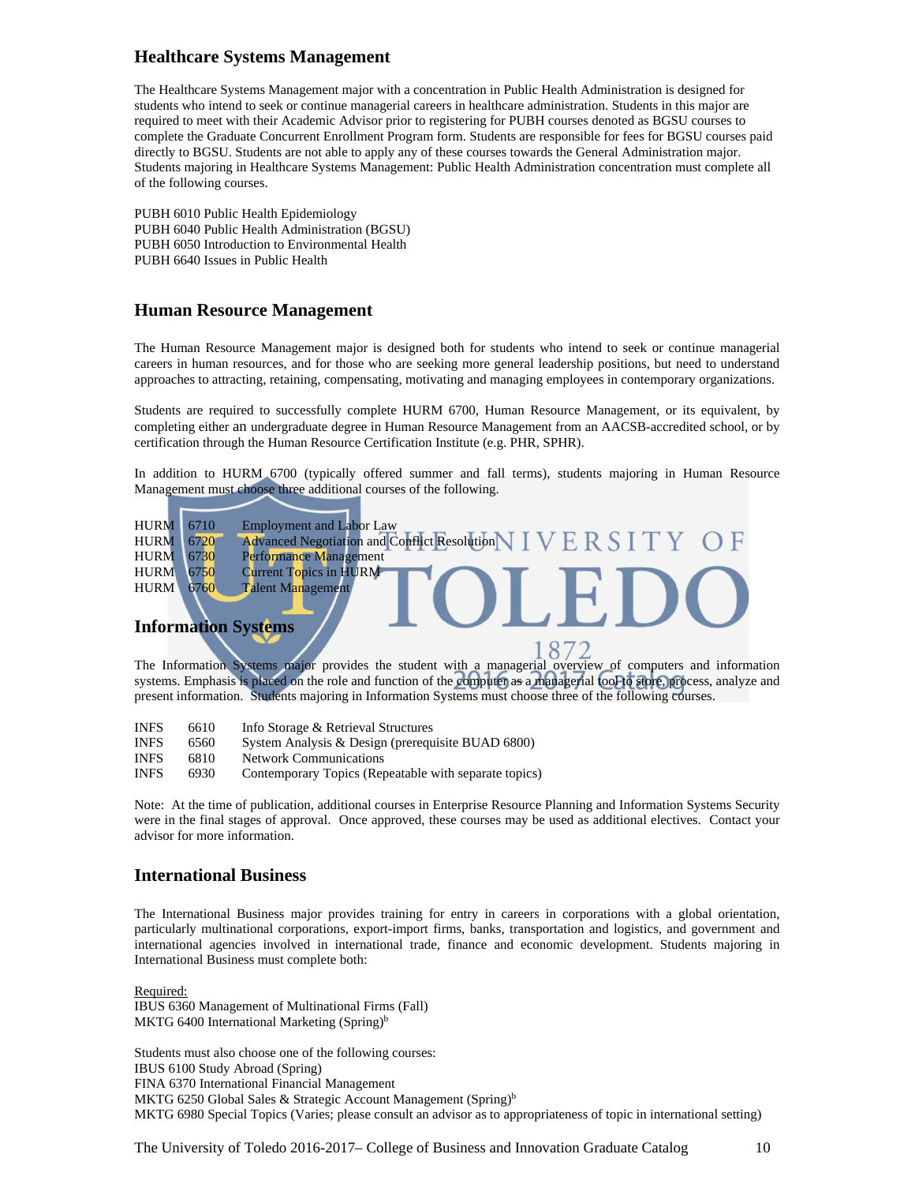#### **Healthcare Systems Management**

The Healthcare Systems Management major with a concentration in Public Health Administration is designed for students who intend to seek or continue managerial careers in healthcare administration. Students in this major are required to meet with their Academic Advisor prior to registering for PUBH courses denoted as BGSU courses to complete the Graduate Concurrent Enrollment Program form. Students are responsible for fees for BGSU courses paid directly to BGSU. Students are not able to apply any of these courses towards the General Administration major. Students majoring in Healthcare Systems Management: Public Health Administration concentration must complete all of the following courses.

PUBH 6010 Public Health Epidemiology PUBH 6040 Public Health Administration (BGSU) PUBH 6050 Introduction to Environmental Health PUBH 6640 Issues in Public Health

#### **Human Resource Management**

The Human Resource Management major is designed both for students who intend to seek or continue managerial careers in human resources, and for those who are seeking more general leadership positions, but need to understand approaches to attracting, retaining, compensating, motivating and managing employees in contemporary organizations.

Students are required to successfully complete HURM 6700, Human Resource Management, or its equivalent, by completing either an undergraduate degree in Human Resource Management from an AACSB-accredited school, or by certification through the Human Resource Certification Institute (e.g. PHR, SPHR).

In addition to HURM 6700 (typically offered summer and fall terms), students majoring in Human Resource Management must choose three additional courses of the following.

| <b>HURM</b> | 6710 | <b>Employment and Labor Law</b>                                          |
|-------------|------|--------------------------------------------------------------------------|
| <b>HURM</b> | 6720 | Advanced Negotiation and Conflict Resolution $\bigvee_{k} V E R S T T Y$ |
| <b>HURM</b> | 6730 | Performance Management                                                   |
| <b>HURM</b> | 6750 | <b>Current Topics in HURM</b>                                            |
| <b>HURM</b> | 6760 | <b>Talent Management</b>                                                 |
|             |      | <b>Information Systems</b>                                               |

The Information Systems major provides the student with a managerial overview of computers and information systems. Emphasis is placed on the role and function of the computer as a managerial tool to store, process, analyze and present information. Students majoring in Information Systems must choose three of the following courses.

| <b>INFS</b> | 6610 | Info Storage & Retrieval Structures |
|-------------|------|-------------------------------------|
|-------------|------|-------------------------------------|

- INFS 6560 System Analysis & Design (prerequisite BUAD 6800)
- 6810 Network Communications<br>6930 Contemporary Topics (Ren
- INFS 6930 Contemporary Topics (Repeatable with separate topics)

Note: At the time of publication, additional courses in Enterprise Resource Planning and Information Systems Security were in the final stages of approval. Once approved, these courses may be used as additional electives. Contact your advisor for more information.

#### **International Business**

The International Business major provides training for entry in careers in corporations with a global orientation, particularly multinational corporations, export-import firms, banks, transportation and logistics, and government and international agencies involved in international trade, finance and economic development. Students majoring in International Business must complete both:

Required: IBUS 6360 Management of Multinational Firms (Fall) MKTG 6400 International Marketing  $(Spring)^b$ 

Students must also choose one of the following courses: IBUS 6100 Study Abroad (Spring) FINA 6370 International Financial Management MKTG 6250 Global Sales & Strategic Account Management (Spring)<sup>b</sup> MKTG 6980 Special Topics (Varies; please consult an advisor as to appropriateness of topic in international setting)

The University of Toledo 2016-2017– College of Business and Innovation Graduate Catalog 10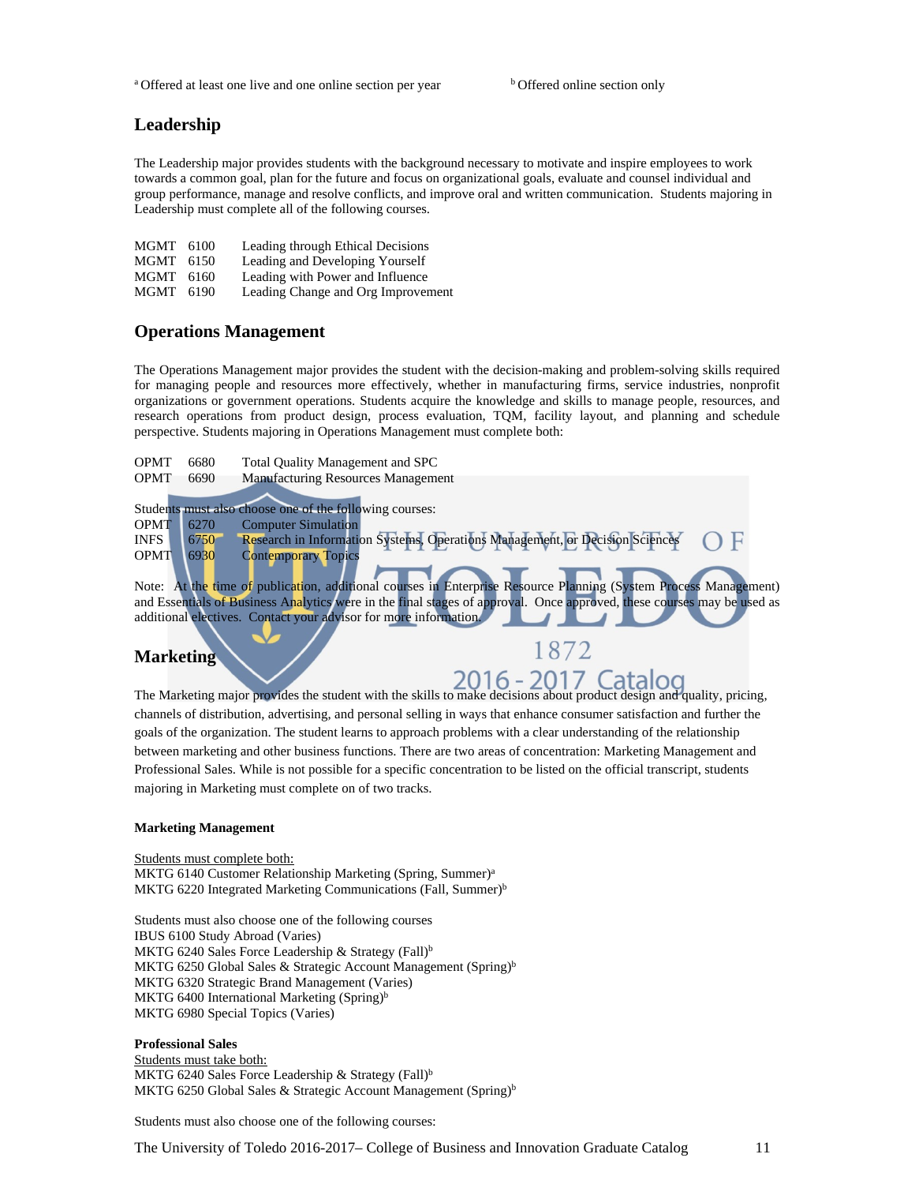<sup>a</sup> Offered at least one live and one online section per year b Offered online section only

#### **Leadership**

The Leadership major provides students with the background necessary to motivate and inspire employees to work towards a common goal, plan for the future and focus on organizational goals, evaluate and counsel individual and group performance, manage and resolve conflicts, and improve oral and written communication. Students majoring in Leadership must complete all of the following courses.

| MGMT 6100 | Leading through Ethical Decisions  |
|-----------|------------------------------------|
| MGMT 6150 | Leading and Developing Yourself    |
| MGMT 6160 | Leading with Power and Influence   |
| MGMT 6190 | Leading Change and Org Improvement |

#### **Operations Management**

The Operations Management major provides the student with the decision-making and problem-solving skills required for managing people and resources more effectively, whether in manufacturing firms, service industries, nonprofit organizations or government operations. Students acquire the knowledge and skills to manage people, resources, and research operations from product design, process evaluation, TQM, facility layout, and planning and schedule perspective. Students majoring in Operations Management must complete both:

OPMT 6680 Total Quality Management and SPC<br>OPMT 6690 Manufacturing Resources Manageme Manufacturing Resources Management

Students must also choose one of the following courses: OPMT 6270 Computer Simulation INFS 6750 Research in Information Systems, Operations Management, or Decision Sciences OPMT 6930 Contemporary Topics

Note: At the time of publication, additional courses in Enterprise Resource Planning (System Process Management) and Essentials of Business Analytics were in the final stages of approval. Once approved, these courses may be used as additional electives. Contact your advisor for more information.

### **Marketing**

1872

The Marketing major provides the student with the skills to make decisions about product design and quality, pricing, channels of distribution, advertising, and personal selling in ways that enhance consumer satisfaction and further the goals of the organization. The student learns to approach problems with a clear understanding of the relationship between marketing and other business functions. There are two areas of concentration: Marketing Management and Professional Sales. While is not possible for a specific concentration to be listed on the official transcript, students majoring in Marketing must complete on of two tracks.

#### **Marketing Management**

Students must complete both: MKTG 6140 Customer Relationship Marketing (Spring, Summer)<sup>a</sup> MKTG 6220 Integrated Marketing Communications (Fall, Summer)<sup>b</sup>

Students must also choose one of the following courses IBUS 6100 Study Abroad (Varies) MKTG 6240 Sales Force Leadership & Strategy (Fall)<sup>b</sup> MKTG 6250 Global Sales & Strategic Account Management (Spring)<sup>b</sup> MKTG 6320 Strategic Brand Management (Varies) MKTG 6400 International Marketing  $(Spring)^b$ MKTG 6980 Special Topics (Varies)

#### **Professional Sales**

Students must take both: MKTG 6240 Sales Force Leadership & Strategy (Fall)<sup>b</sup> MKTG 6250 Global Sales & Strategic Account Management (Spring)<sup>b</sup>

Students must also choose one of the following courses: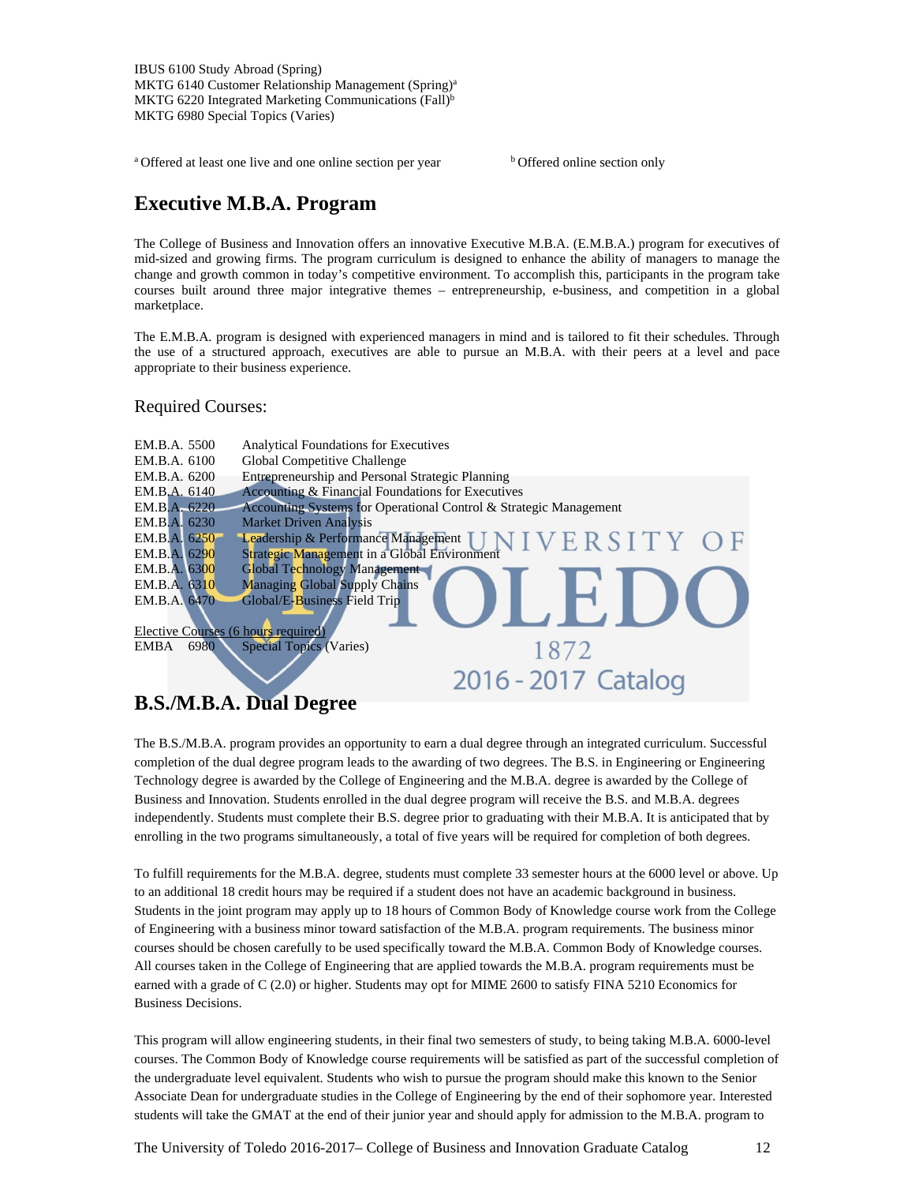IBUS 6100 Study Abroad (Spring) MKTG 6140 Customer Relationship Management (Spring)<sup>a</sup> MKTG 6220 Integrated Marketing Communications (Fall)<sup>b</sup> MKTG 6980 Special Topics (Varies)

<sup>a</sup> Offered at least one live and one online section per year **b** Offered online section only

### **Executive M.B.A. Program**

The College of Business and Innovation offers an innovative Executive M.B.A. (E.M.B.A.) program for executives of mid-sized and growing firms. The program curriculum is designed to enhance the ability of managers to manage the change and growth common in today's competitive environment. To accomplish this, participants in the program take courses built around three major integrative themes – entrepreneurship, e-business, and competition in a global marketplace.

The E.M.B.A. program is designed with experienced managers in mind and is tailored to fit their schedules. Through the use of a structured approach, executives are able to pursue an M.B.A. with their peers at a level and pace appropriate to their business experience.

Required Courses:



### **B.S./M.B.A. Dual Degree**

The B.S./M.B.A. program provides an opportunity to earn a dual degree through an integrated curriculum. Successful completion of the dual degree program leads to the awarding of two degrees. The B.S. in Engineering or Engineering Technology degree is awarded by the College of Engineering and the M.B.A. degree is awarded by the College of Business and Innovation. Students enrolled in the dual degree program will receive the B.S. and M.B.A. degrees independently. Students must complete their B.S. degree prior to graduating with their M.B.A. It is anticipated that by enrolling in the two programs simultaneously, a total of five years will be required for completion of both degrees.

To fulfill requirements for the M.B.A. degree, students must complete 33 semester hours at the 6000 level or above. Up to an additional 18 credit hours may be required if a student does not have an academic background in business. Students in the joint program may apply up to 18 hours of Common Body of Knowledge course work from the College of Engineering with a business minor toward satisfaction of the M.B.A. program requirements. The business minor courses should be chosen carefully to be used specifically toward the M.B.A. Common Body of Knowledge courses. All courses taken in the College of Engineering that are applied towards the M.B.A. program requirements must be earned with a grade of C (2.0) or higher. Students may opt for MIME 2600 to satisfy FINA 5210 Economics for Business Decisions.

This program will allow engineering students, in their final two semesters of study, to being taking M.B.A. 6000-level courses. The Common Body of Knowledge course requirements will be satisfied as part of the successful completion of the undergraduate level equivalent. Students who wish to pursue the program should make this known to the Senior Associate Dean for undergraduate studies in the College of Engineering by the end of their sophomore year. Interested students will take the GMAT at the end of their junior year and should apply for admission to the M.B.A. program to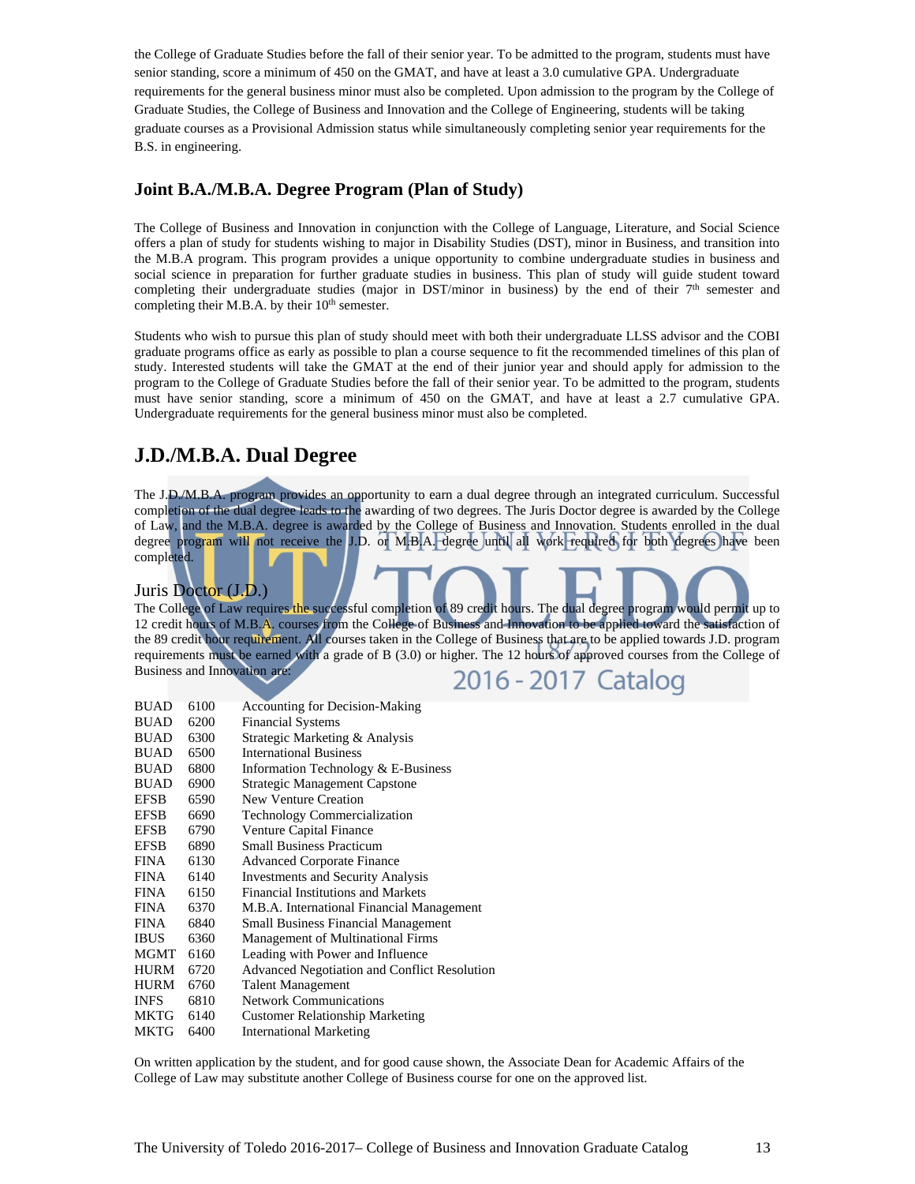the College of Graduate Studies before the fall of their senior year. To be admitted to the program, students must have senior standing, score a minimum of 450 on the GMAT, and have at least a 3.0 cumulative GPA. Undergraduate requirements for the general business minor must also be completed. Upon admission to the program by the College of Graduate Studies, the College of Business and Innovation and the College of Engineering, students will be taking graduate courses as a Provisional Admission status while simultaneously completing senior year requirements for the B.S. in engineering.

### **Joint B.A./M.B.A. Degree Program (Plan of Study)**

The College of Business and Innovation in conjunction with the College of Language, Literature, and Social Science offers a plan of study for students wishing to major in Disability Studies (DST), minor in Business, and transition into the M.B.A program. This program provides a unique opportunity to combine undergraduate studies in business and social science in preparation for further graduate studies in business. This plan of study will guide student toward completing their undergraduate studies (major in DST/minor in business) by the end of their  $7<sup>th</sup>$  semester and completing their M.B.A. by their 10<sup>th</sup> semester.

Students who wish to pursue this plan of study should meet with both their undergraduate LLSS advisor and the COBI graduate programs office as early as possible to plan a course sequence to fit the recommended timelines of this plan of study. Interested students will take the GMAT at the end of their junior year and should apply for admission to the program to the College of Graduate Studies before the fall of their senior year. To be admitted to the program, students must have senior standing, score a minimum of 450 on the GMAT, and have at least a 2.7 cumulative GPA. Undergraduate requirements for the general business minor must also be completed.

### **J.D./M.B.A. Dual Degree**

The J.D./M.B.A. program provides an opportunity to earn a dual degree through an integrated curriculum. Successful completion of the dual degree leads to the awarding of two degrees. The Juris Doctor degree is awarded by the College of Law, and the M.B.A. degree is awarded by the College of Business and Innovation. Students enrolled in the dual degree program will not receive the J.D. or M.B.A. degree until all work required for both degrees have been completed.

#### Juris Doctor (J.D.)

The College of Law requires the successful completion of 89 credit hours. The dual degree program would permit up to 12 credit hours of M.B.A. courses from the College of Business and Innovation to be applied toward the satisfaction of the 89 credit hour requirement. All courses taken in the College of Business that are to be applied towards J.D. program requirements must be earned with a grade of B (3.0) or higher. The 12 hours of approved courses from the College of Business and Innovation are:

2016 - 2017 Catalog

| <b>BUAD</b> | 6100 | <b>Accounting for Decision-Making</b>               |
|-------------|------|-----------------------------------------------------|
| <b>BUAD</b> | 6200 | <b>Financial Systems</b>                            |
| <b>BUAD</b> | 6300 | Strategic Marketing & Analysis                      |
| <b>BUAD</b> | 6500 | <b>International Business</b>                       |
| <b>BUAD</b> | 6800 | Information Technology & E-Business                 |
| <b>BUAD</b> | 6900 | <b>Strategic Management Capstone</b>                |
| <b>EFSB</b> | 6590 | New Venture Creation                                |
| <b>EFSB</b> | 6690 | <b>Technology Commercialization</b>                 |
| <b>EFSB</b> | 6790 | <b>Venture Capital Finance</b>                      |
| <b>EFSB</b> | 6890 | <b>Small Business Practicum</b>                     |
| <b>FINA</b> | 6130 | <b>Advanced Corporate Finance</b>                   |
| <b>FINA</b> | 6140 | <b>Investments and Security Analysis</b>            |
| <b>FINA</b> | 6150 | Financial Institutions and Markets                  |
| <b>FINA</b> | 6370 | M.B.A. International Financial Management           |
| <b>FINA</b> | 6840 | <b>Small Business Financial Management</b>          |
| <b>IBUS</b> | 6360 | Management of Multinational Firms                   |
| MGMT        | 6160 | Leading with Power and Influence                    |
| <b>HURM</b> | 6720 | <b>Advanced Negotiation and Conflict Resolution</b> |
| HURM        | 6760 | <b>Talent Management</b>                            |
| <b>INFS</b> | 6810 | <b>Network Communications</b>                       |
| MKTG        | 6140 | <b>Customer Relationship Marketing</b>              |

MKTG 6400 International Marketing

On written application by the student, and for good cause shown, the Associate Dean for Academic Affairs of the College of Law may substitute another College of Business course for one on the approved list.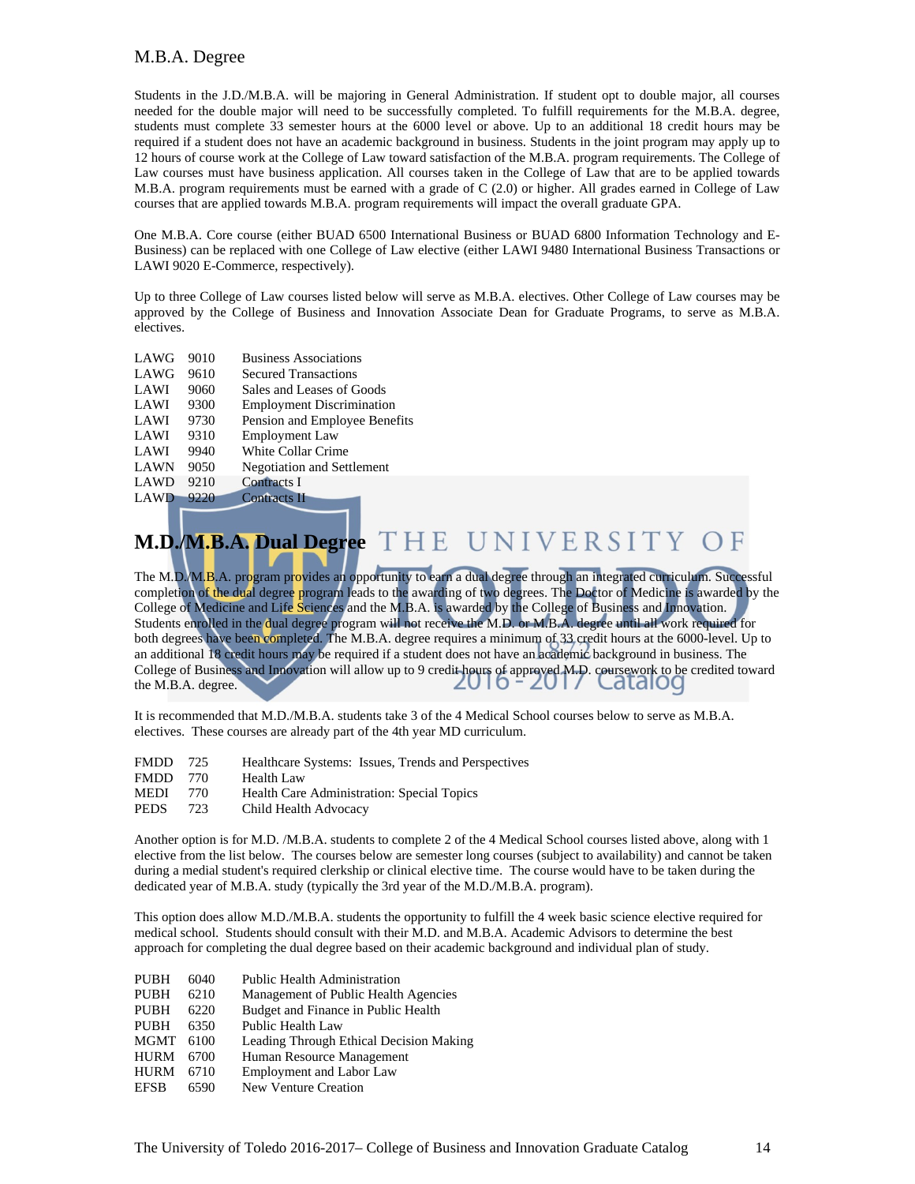#### M.B.A. Degree

Students in the J.D./M.B.A. will be majoring in General Administration. If student opt to double major, all courses needed for the double major will need to be successfully completed. To fulfill requirements for the M.B.A. degree, students must complete 33 semester hours at the 6000 level or above. Up to an additional 18 credit hours may be required if a student does not have an academic background in business. Students in the joint program may apply up to 12 hours of course work at the College of Law toward satisfaction of the M.B.A. program requirements. The College of Law courses must have business application. All courses taken in the College of Law that are to be applied towards M.B.A. program requirements must be earned with a grade of C (2.0) or higher. All grades earned in College of Law courses that are applied towards M.B.A. program requirements will impact the overall graduate GPA.

One M.B.A. Core course (either BUAD 6500 International Business or BUAD 6800 Information Technology and E-Business) can be replaced with one College of Law elective (either LAWI 9480 International Business Transactions or LAWI 9020 E-Commerce, respectively).

Up to three College of Law courses listed below will serve as M.B.A. electives. Other College of Law courses may be approved by the College of Business and Innovation Associate Dean for Graduate Programs, to serve as M.B.A. electives.

| LAWG        | 9010 | <b>Business Associations</b>      |
|-------------|------|-----------------------------------|
| LAWG        | 9610 | <b>Secured Transactions</b>       |
| LAWI        | 9060 | Sales and Leases of Goods         |
| LAWI        | 9300 | <b>Employment Discrimination</b>  |
| LAWI        | 9730 | Pension and Employee Benefits     |
| <b>LAWI</b> | 9310 | <b>Employment Law</b>             |
| LAWI        | 9940 | White Collar Crime                |
| <b>LAWN</b> | 9050 | <b>Negotiation and Settlement</b> |
| LAWD        | 9210 | <b>Contracts I</b>                |
| <b>LAWD</b> | 9220 | <b>Contracts II</b>               |
|             |      |                                   |

#### THE UNIVERSITY OF **M.D./M.B.A. Dual Degree**

The M.D./M.B.A. program pr<mark>o</mark>vides an opportunity to earn a dual degree through an integrated curriculum. Successful completion of the dual degree program leads to the awarding of two degrees. The Doctor of Medicine is awarded by the College of Medicine and Life Sciences and the M.B.A. is awarded by the College of Business and Innovation. Students enrolled in the dual degree program will not receive the M.D. or M.B.A. degree until all work required for both degrees have been completed. The M.B.A. degree requires a minimum of 33 credit hours at the 6000-level. Up to an additional 18 credit hours may be required if a student does not have an academic background in business. The College of Business and Innovation will allow up to 9 credit hours of approved M.D. coursework to be credited toward the M.B.A. degree.

It is recommended that M.D./M.B.A. students take 3 of the 4 Medical School courses below to serve as M.B.A. electives. These courses are already part of the 4th year MD curriculum.

- FMDD 725 Healthcare Systems: Issues, Trends and Perspectives
- FMDD 770 Health Law
- MEDI 770 Health Care Administration: Special Topics
- PEDS 723 Child Health Advocacy

Another option is for M.D. /M.B.A. students to complete 2 of the 4 Medical School courses listed above, along with 1 elective from the list below. The courses below are semester long courses (subject to availability) and cannot be taken during a medial student's required clerkship or clinical elective time. The course would have to be taken during the dedicated year of M.B.A. study (typically the 3rd year of the M.D./M.B.A. program).

This option does allow M.D./M.B.A. students the opportunity to fulfill the 4 week basic science elective required for medical school. Students should consult with their M.D. and M.B.A. Academic Advisors to determine the best approach for completing the dual degree based on their academic background and individual plan of study.

| <b>PUBH</b> | 6040 | <b>Public Health Administration</b>     |
|-------------|------|-----------------------------------------|
| <b>PUBH</b> | 6210 | Management of Public Health Agencies    |
| <b>PUBH</b> | 6220 | Budget and Finance in Public Health     |
| <b>PUBH</b> | 6350 | Public Health Law                       |
| <b>MGMT</b> | 6100 | Leading Through Ethical Decision Making |
| <b>HURM</b> | 6700 | Human Resource Management               |
| <b>HURM</b> | 6710 | <b>Employment and Labor Law</b>         |
| <b>EFSB</b> | 6590 | <b>New Venture Creation</b>             |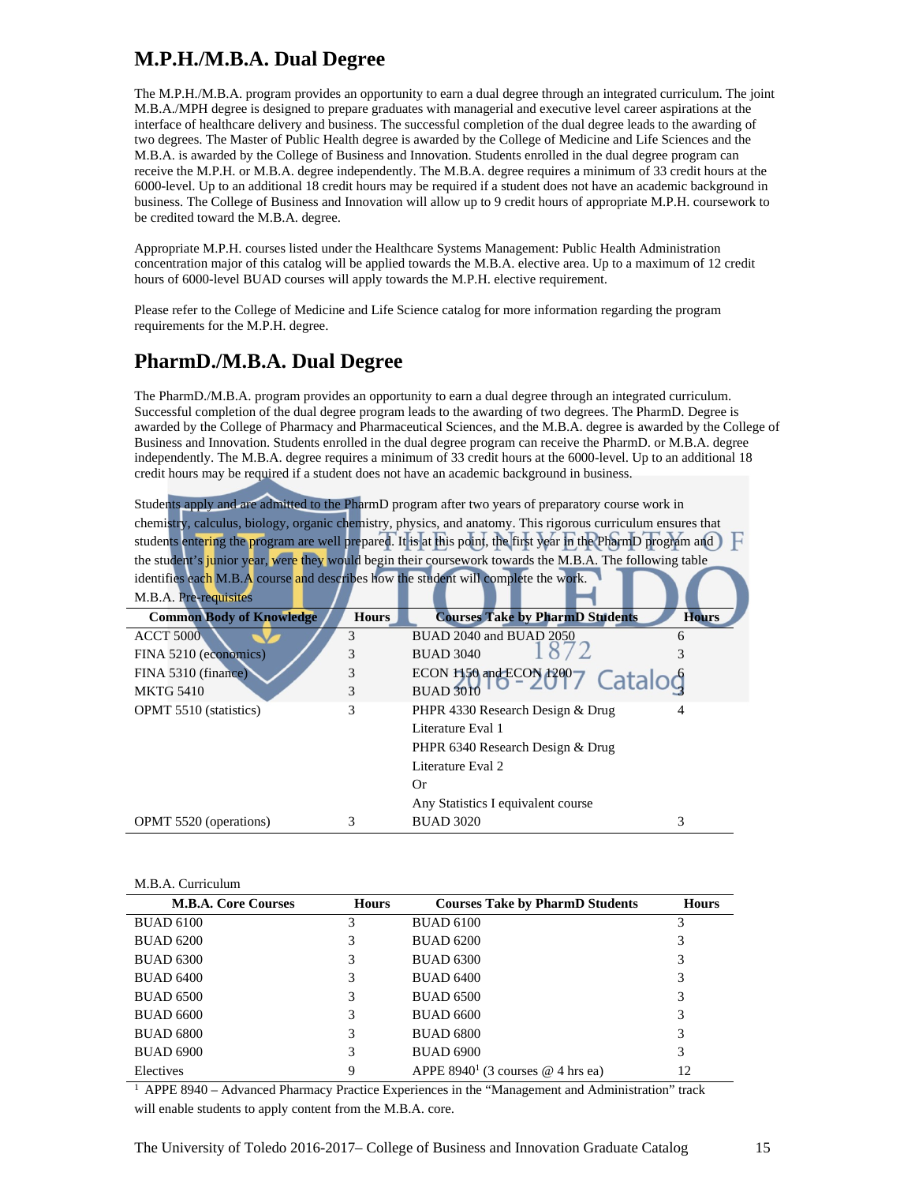### **M.P.H./M.B.A. Dual Degree**

The M.P.H./M.B.A. program provides an opportunity to earn a dual degree through an integrated curriculum. The joint M.B.A./MPH degree is designed to prepare graduates with managerial and executive level career aspirations at the interface of healthcare delivery and business. The successful completion of the dual degree leads to the awarding of two degrees. The Master of Public Health degree is awarded by the College of Medicine and Life Sciences and the M.B.A. is awarded by the College of Business and Innovation. Students enrolled in the dual degree program can receive the M.P.H. or M.B.A. degree independently. The M.B.A. degree requires a minimum of 33 credit hours at the 6000-level. Up to an additional 18 credit hours may be required if a student does not have an academic background in business. The College of Business and Innovation will allow up to 9 credit hours of appropriate M.P.H. coursework to be credited toward the M.B.A. degree.

Appropriate M.P.H. courses listed under the Healthcare Systems Management: Public Health Administration concentration major of this catalog will be applied towards the M.B.A. elective area. Up to a maximum of 12 credit hours of 6000-level BUAD courses will apply towards the M.P.H. elective requirement.

Please refer to the College of Medicine and Life Science catalog for more information regarding the program requirements for the M.P.H. degree.

### **PharmD./M.B.A. Dual Degree**

The PharmD./M.B.A. program provides an opportunity to earn a dual degree through an integrated curriculum. Successful completion of the dual degree program leads to the awarding of two degrees. The PharmD. Degree is awarded by the College of Pharmacy and Pharmaceutical Sciences, and the M.B.A. degree is awarded by the College of Business and Innovation. Students enrolled in the dual degree program can receive the PharmD. or M.B.A. degree independently. The M.B.A. degree requires a minimum of 33 credit hours at the 6000-level. Up to an additional 18 credit hours may be required if a student does not have an academic background in business.

|                                                                                    |              | Students apply and are admitted to the PharmD program after two years of preparatory course work in            |              |
|------------------------------------------------------------------------------------|--------------|----------------------------------------------------------------------------------------------------------------|--------------|
|                                                                                    |              | chemistry, calculus, biology, organic chemistry, physics, and anatomy. This rigorous curriculum ensures that   |              |
|                                                                                    |              | students entering the program are well prepared. It is at this point, the first year in the PharmD program and |              |
|                                                                                    |              | the student's junior year, were they would begin their coursework towards the M.B.A. The following table       |              |
| identifies each M.B.A course and describes how the student will complete the work. |              |                                                                                                                |              |
| M.B.A. Pre-requisites                                                              |              |                                                                                                                |              |
| <b>Common Body of Knowledge</b>                                                    | <b>Hours</b> | <b>Courses Take by PharmD Students</b>                                                                         | <b>Hours</b> |
| <b>ACCT 5000</b>                                                                   | 3            | BUAD 2040 and BUAD 2050                                                                                        | 6            |
| FINA 5210 (economics)                                                              | 3            | <b>BUAD 3040</b>                                                                                               |              |
| FINA 5310 (finance)                                                                | 3            | ECON 1150 and ECON 1200<br>Catalog                                                                             |              |
| <b>MKTG 5410</b>                                                                   | 3            | <b>BUAD 3010</b>                                                                                               |              |
| <b>OPMT</b> 5510 (statistics)                                                      | 3            | PHPR 4330 Research Design & Drug                                                                               |              |
|                                                                                    |              | Literature Eval 1                                                                                              |              |
|                                                                                    |              | PHPR 6340 Research Design & Drug                                                                               |              |
|                                                                                    |              | Literature Eval 2                                                                                              |              |
|                                                                                    |              | Or.                                                                                                            |              |
|                                                                                    |              | Any Statistics I equivalent course                                                                             |              |
| <b>OPMT</b> 5520 (operations)                                                      | 3            | <b>BUAD 3020</b>                                                                                               | 3            |

| <b>M.B.A. Core Courses</b> | <b>Hours</b> | <b>Courses Take by PharmD Students</b>          | <b>Hours</b> |
|----------------------------|--------------|-------------------------------------------------|--------------|
| <b>BUAD 6100</b>           | 3            | <b>BUAD 6100</b>                                | 3            |
| <b>BUAD 6200</b>           | 3            | <b>BUAD 6200</b>                                | 3            |
| <b>BUAD 6300</b>           | 3            | <b>BUAD 6300</b>                                | 3            |
| <b>BUAD 6400</b>           | 3            | <b>BUAD 6400</b>                                | 3            |
| <b>BUAD 6500</b>           | 3            | <b>BUAD 6500</b>                                | 3            |
| <b>BUAD 6600</b>           | 3            | <b>BUAD 6600</b>                                | 3            |
| <b>BUAD 6800</b>           | 3            | <b>BUAD 6800</b>                                | 3            |
| <b>BUAD 6900</b>           | 3            | <b>BUAD 6900</b>                                | 3            |
| Electives                  | 9            | APPE 8940 <sup>1</sup> (3 courses $@$ 4 hrs ea) | 12           |

1 APPE 8940 – Advanced Pharmacy Practice Experiences in the "Management and Administration" track will enable students to apply content from the M.B.A. core.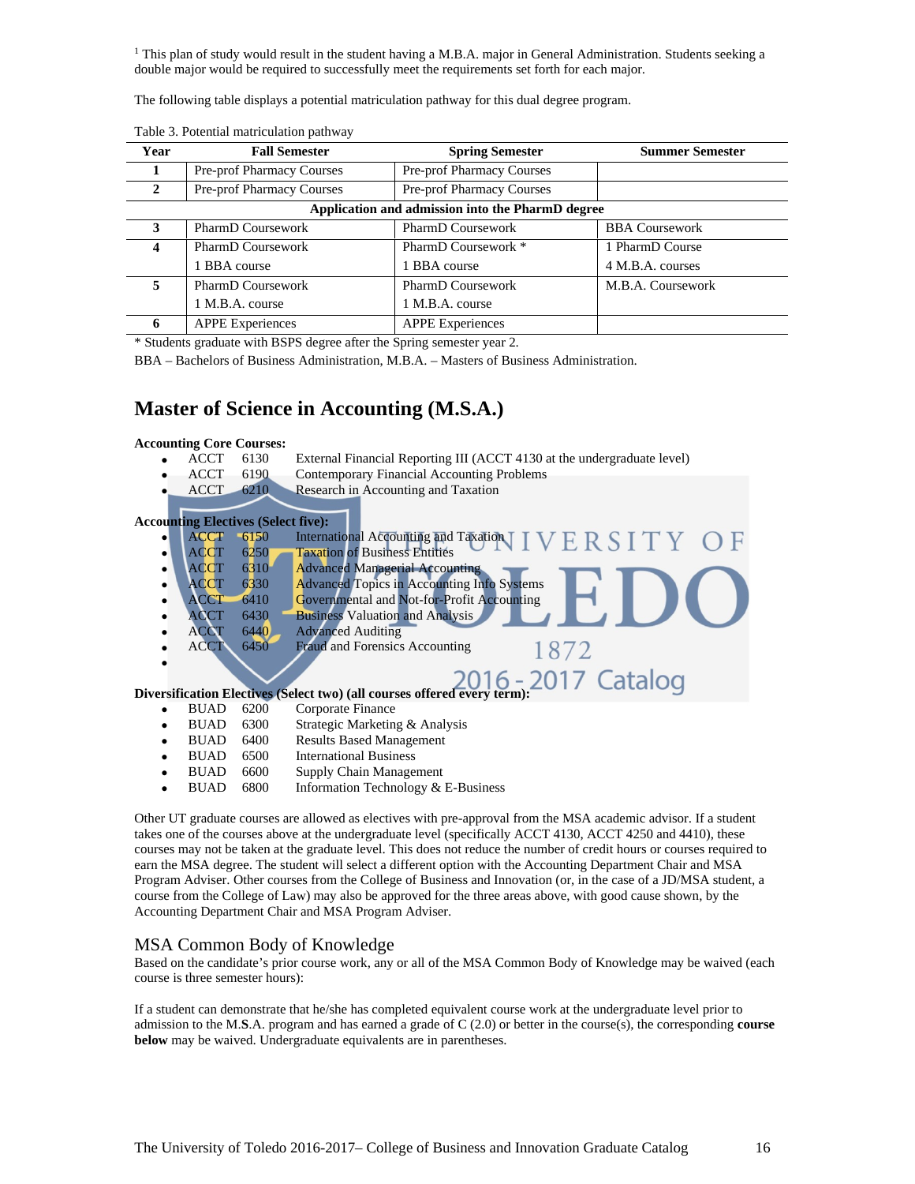<sup>1</sup> This plan of study would result in the student having a M.B.A. major in General Administration. Students seeking a double major would be required to successfully meet the requirements set forth for each major.

The following table displays a potential matriculation pathway for this dual degree program.

| Year                                             | <b>Fall Semester</b>      | <b>Spring Semester</b>    | <b>Summer Semester</b> |
|--------------------------------------------------|---------------------------|---------------------------|------------------------|
|                                                  | Pre-prof Pharmacy Courses | Pre-prof Pharmacy Courses |                        |
| 2                                                | Pre-prof Pharmacy Courses | Pre-prof Pharmacy Courses |                        |
| Application and admission into the PharmD degree |                           |                           |                        |
| 3                                                | PharmD Coursework         | PharmD Coursework         | <b>BBA Coursework</b>  |
| 4                                                | PharmD Coursework         | PharmD Coursework *       | 1 PharmD Course        |
|                                                  | 1 BBA course              | 1 BBA course              | 4 M.B.A. courses       |
| 5.                                               | PharmD Coursework         | <b>PharmD</b> Coursework  | M.B.A. Coursework      |
|                                                  | 1 M.B.A. course           | 1 M.B.A. course           |                        |
| 6                                                | <b>APPE Experiences</b>   | <b>APPE Experiences</b>   |                        |

Table 3. Potential matriculation pathway

\* Students graduate with BSPS degree after the Spring semester year 2.

BBA – Bachelors of Business Administration, M.B.A. – Masters of Business Administration.

### **Master of Science in Accounting (M.S.A.)**

## **Accounting Core Courses:**<br>• ACCT 6130

- External Financial Reporting III (ACCT 4130 at the undergraduate level)
- ACCT 6190 Contemporary Financial Accounting Problems
- ACCT 6210 Research in Accounting and Taxation

#### **Accounting Electives (Select five):**

- ACCT 6150 International Accounting and Taxation ERSITY ACCT 6250 Taxation of Business Entities ACCT 6310 Advanced Managerial Accounting CCT 6330 Advanced Topics in Accounting Info Systems CCT 6410 Governmental and Not-for-Profit Accounting CT 6430 Business Valuation and Analysis ACCT 6440 Advanced Auditing ACCT 6450 Fraud and Forensics Accounting 1872 • **Diversification Electives (Select two) (all courses offered every term):** • BUAD 6200 Corporate Finance
	-
	- BUAD 6300 Strategic Marketing & Analysis • BUAD 6400 Results Based Management
	- BUAD 6500 International Business
	- BUAD 6600 Supply Chain Management
	- Information Technology & E-Business

Other UT graduate courses are allowed as electives with pre-approval from the MSA academic advisor. If a student takes one of the courses above at the undergraduate level (specifically ACCT 4130, ACCT 4250 and 4410), these courses may not be taken at the graduate level. This does not reduce the number of credit hours or courses required to earn the MSA degree. The student will select a different option with the Accounting Department Chair and MSA Program Adviser. Other courses from the College of Business and Innovation (or, in the case of a JD/MSA student, a course from the College of Law) may also be approved for the three areas above, with good cause shown, by the Accounting Department Chair and MSA Program Adviser.

#### MSA Common Body of Knowledge

Based on the candidate's prior course work, any or all of the MSA Common Body of Knowledge may be waived (each course is three semester hours):

If a student can demonstrate that he/she has completed equivalent course work at the undergraduate level prior to admission to the M.**S**.A. program and has earned a grade of C (2.0) or better in the course(s), the corresponding **course below** may be waived. Undergraduate equivalents are in parentheses.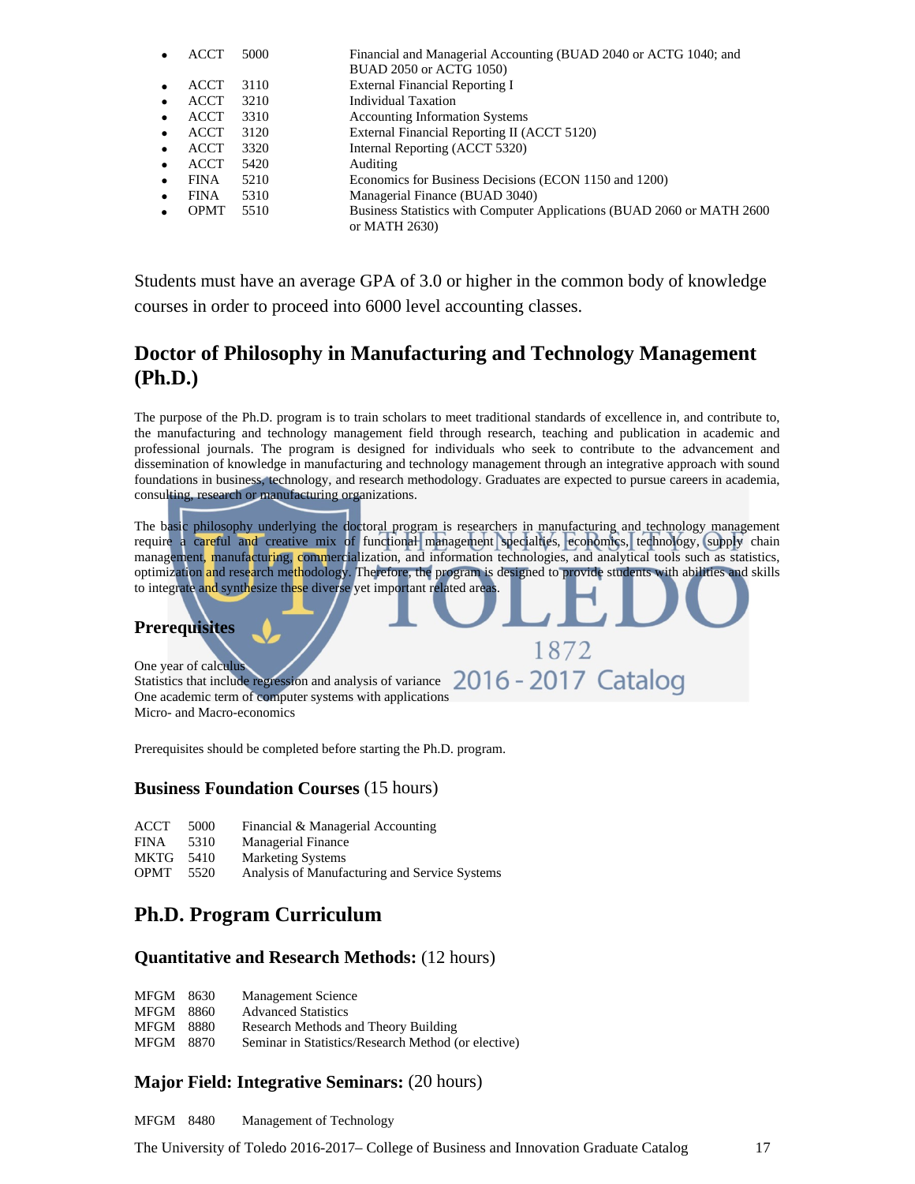|             | 5000 | Financial and Managerial Accounting (BUAD 2040 or ACTG 1040; and       |
|-------------|------|------------------------------------------------------------------------|
|             |      | BUAD 2050 or ACTG 1050)                                                |
| <b>ACCT</b> | 3110 | <b>External Financial Reporting I</b>                                  |
| ACCT        | 3210 | Individual Taxation                                                    |
| <b>ACCT</b> | 3310 | <b>Accounting Information Systems</b>                                  |
| <b>ACCT</b> | 3120 | External Financial Reporting II (ACCT 5120)                            |
| <b>ACCT</b> | 3320 | Internal Reporting (ACCT 5320)                                         |
| <b>ACCT</b> | 5420 | Auditing                                                               |
| <b>FINA</b> | 5210 | Economics for Business Decisions (ECON 1150 and 1200)                  |
| <b>FINA</b> | 5310 | Managerial Finance (BUAD 3040)                                         |
| <b>OPMT</b> | 5510 | Business Statistics with Computer Applications (BUAD 2060 or MATH 2600 |
|             |      | or MATH 2630)                                                          |

Students must have an average GPA of 3.0 or higher in the common body of knowledge courses in order to proceed into 6000 level accounting classes.

### **Doctor of Philosophy in Manufacturing and Technology Management (Ph.D.)**

The purpose of the Ph.D. program is to train scholars to meet traditional standards of excellence in, and contribute to, the manufacturing and technology management field through research, teaching and publication in academic and professional journals. The program is designed for individuals who seek to contribute to the advancement and dissemination of knowledge in manufacturing and technology management through an integrative approach with sound foundations in business, technology, and research methodology. Graduates are expected to pursue careers in academia, consulting, research or manufacturing organizations.

The basic philosophy underlying the doctoral program is researchers in manufacturing and technology management require a careful and creative mix of functional management specialties, economics, technology, supply chain management, manufacturing, commercialization, and information technologies, and analytical tools such as statistics, optimization and research methodology. Therefore, the program is designed to provide students with abilities and skills to integrate and synthesize these diverse yet important related areas.

1872

#### **Prerequisites**

One year of calculus Statistics that include regression and analysis of variance 2016 - 2017 Catalog One academic term of computer systems with applications Micro- and Macro-economics

Prerequisites should be completed before starting the Ph.D. program.

### **Business Foundation Courses** (15 hours)

| ACCT 5000 |  | Financial & Managerial Accounting |
|-----------|--|-----------------------------------|
|-----------|--|-----------------------------------|

- FINA 5310 Managerial Finance
- MKTG 5410 Marketing Systems
- OPMT 5520 Analysis of Manufacturing and Service Systems

### **Ph.D. Program Curriculum**

#### **Quantitative and Research Methods:** (12 hours)

| <b>MFGM</b> | 8630 | <b>Management Science</b> |
|-------------|------|---------------------------|
|-------------|------|---------------------------|

- MFGM 8860 Advanced Statistics
- MFGM 8880 Research Methods and Theory Building
- MFGM 8870 Seminar in Statistics/Research Method (or elective)

### **Major Field: Integrative Seminars:** (20 hours)

MFGM 8480 Management of Technology

The University of Toledo 2016-2017– College of Business and Innovation Graduate Catalog 17